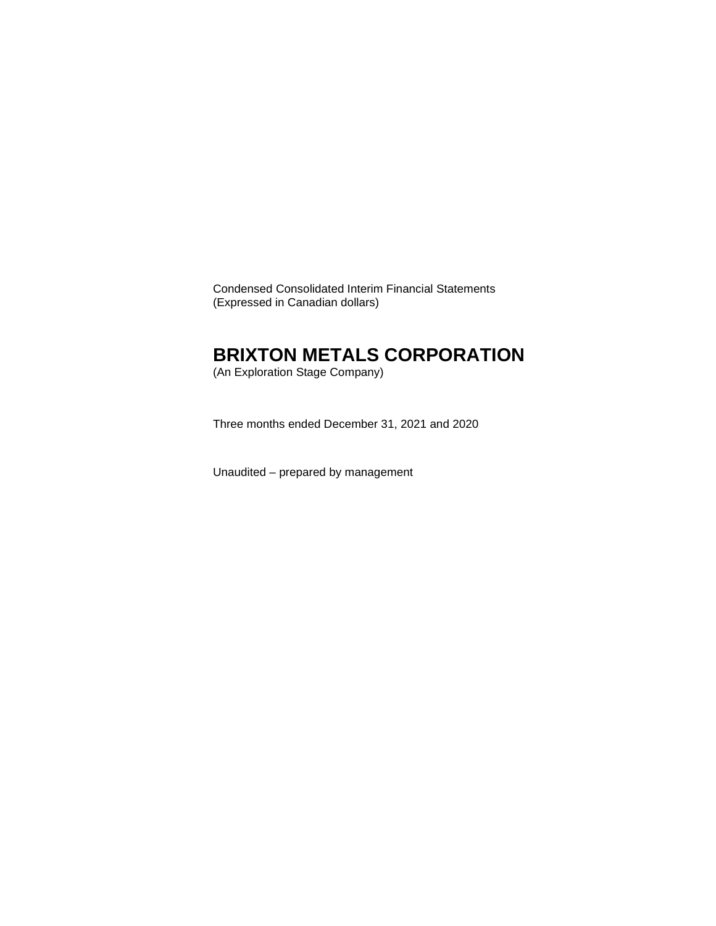Condensed Consolidated Interim Financial Statements (Expressed in Canadian dollars)

# **BRIXTON METALS CORPORATION**

(An Exploration Stage Company)

Three months ended December 31, 2021 and 2020

Unaudited – prepared by management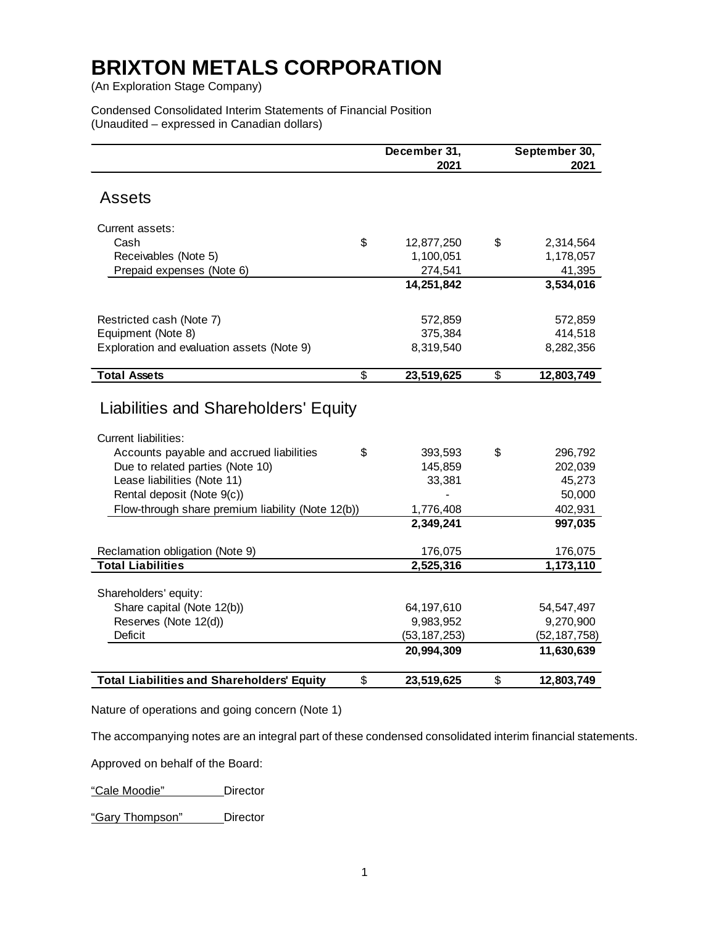(An Exploration Stage Company)

Condensed Consolidated Interim Statements of Financial Position (Unaudited – expressed in Canadian dollars)

|                                                   |                          | December 31,<br>2021 | September 30,<br>2021 |
|---------------------------------------------------|--------------------------|----------------------|-----------------------|
| <b>Assets</b>                                     |                          |                      |                       |
| Current assets:                                   |                          |                      |                       |
| Cash                                              | \$                       | 12,877,250           | \$<br>2,314,564       |
| Receivables (Note 5)                              |                          | 1,100,051            | 1,178,057             |
| Prepaid expenses (Note 6)                         |                          | 274,541              | 41,395                |
|                                                   |                          | 14,251,842           | 3,534,016             |
| Restricted cash (Note 7)                          |                          | 572,859              | 572,859               |
| Equipment (Note 8)                                |                          | 375,384              | 414,518               |
| Exploration and evaluation assets (Note 9)        |                          | 8,319,540            | 8,282,356             |
| <b>Total Assets</b>                               | $\overline{\mathcal{S}}$ | 23,519,625           | \$<br>12,803,749      |
| Current liabilities:                              |                          |                      |                       |
| Accounts payable and accrued liabilities          | \$                       | 393,593              | \$<br>296,792         |
| Due to related parties (Note 10)                  |                          | 145,859              | 202,039               |
| Lease liabilities (Note 11)                       |                          | 33,381               | 45,273                |
| Rental deposit (Note 9(c))                        |                          |                      | 50,000                |
| Flow-through share premium liability (Note 12(b)) |                          | 1,776,408            | 402,931               |
|                                                   |                          | 2,349,241            | 997,035               |
| Reclamation obligation (Note 9)                   |                          | 176,075              | 176,075               |
| <b>Total Liabilities</b>                          |                          | 2,525,316            | 1,173,110             |
| Shareholders' equity:                             |                          |                      |                       |
| Share capital (Note 12(b))                        |                          | 64,197,610           | 54, 547, 497          |
| Reserves (Note 12(d))                             |                          | 9,983,952            | 9,270,900             |
| Deficit                                           |                          | (53, 187, 253)       | (52, 187, 758)        |
|                                                   |                          | 20,994,309           | 11,630,639            |
| <b>Total Liabilities and Shareholders' Equity</b> | \$                       | 23,519,625           | \$<br>12,803,749      |

Nature of operations and going concern (Note 1)

The accompanying notes are an integral part of these condensed consolidated interim financial statements.

Approved on behalf of the Board:

"Cale Moodie" \_\_\_\_\_\_\_Director

"Gary Thompson" Director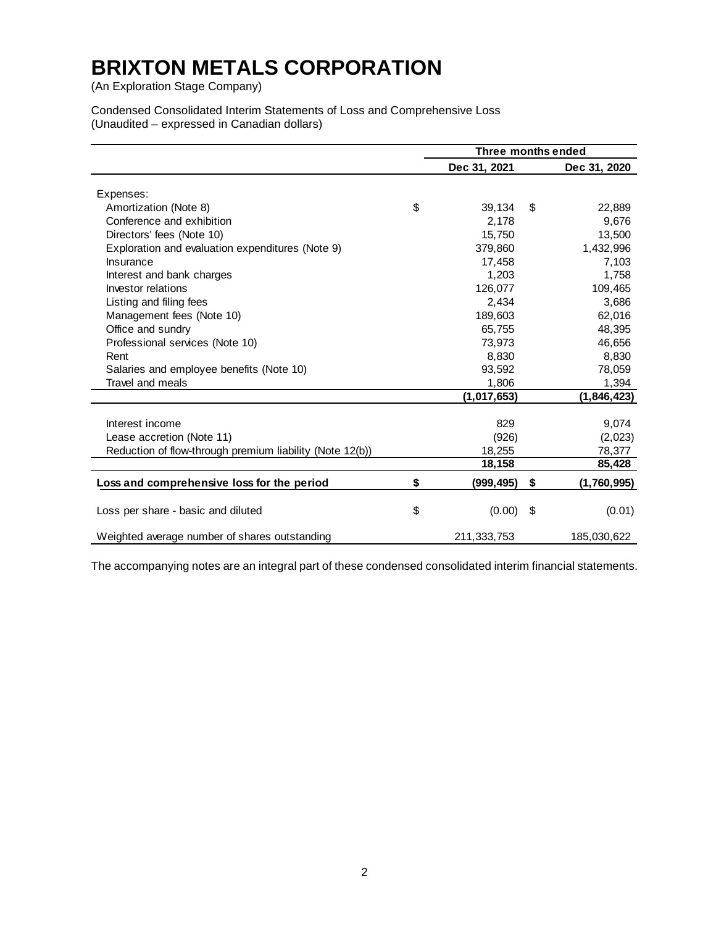(An Exploration Stage Company)

Condensed Consolidated Interim Statements of Loss and Comprehensive Loss (Unaudited – expressed in Canadian dollars)

|                                                          | Three months ended |              |    |              |  |  |
|----------------------------------------------------------|--------------------|--------------|----|--------------|--|--|
|                                                          |                    | Dec 31, 2021 |    | Dec 31, 2020 |  |  |
|                                                          |                    |              |    |              |  |  |
| Expenses:<br>Amortization (Note 8)                       | \$                 | 39,134       | \$ | 22,889       |  |  |
| Conference and exhibition                                |                    | 2.178        |    |              |  |  |
|                                                          |                    |              |    | 9,676        |  |  |
| Directors' fees (Note 10)                                |                    | 15,750       |    | 13,500       |  |  |
| Exploration and evaluation expenditures (Note 9)         |                    | 379,860      |    | 1,432,996    |  |  |
| Insurance                                                |                    | 17,458       |    | 7,103        |  |  |
| Interest and bank charges                                |                    | 1,203        |    | 1,758        |  |  |
| Investor relations                                       |                    | 126,077      |    | 109,465      |  |  |
| Listing and filing fees                                  |                    | 2,434        |    | 3,686        |  |  |
| Management fees (Note 10)                                |                    | 189,603      |    | 62,016       |  |  |
| Office and sundry                                        |                    | 65,755       |    | 48,395       |  |  |
| Professional services (Note 10)                          |                    | 73,973       |    | 46,656       |  |  |
| Rent                                                     |                    | 8,830        |    | 8,830        |  |  |
| Salaries and employee benefits (Note 10)                 |                    | 93,592       |    | 78,059       |  |  |
| Travel and meals                                         |                    | 1,806        |    | 1,394        |  |  |
|                                                          |                    | (1,017,653)  |    | (1,846,423)  |  |  |
|                                                          |                    |              |    |              |  |  |
| Interest income                                          |                    | 829          |    | 9,074        |  |  |
| Lease accretion (Note 11)                                |                    | (926)        |    | (2,023)      |  |  |
| Reduction of flow-through premium liability (Note 12(b)) |                    | 18,255       |    | 78,377       |  |  |
|                                                          |                    | 18,158       |    | 85,428       |  |  |
| Loss and comprehensive loss for the period               | \$                 | (999, 495)   | \$ | (1,760,995)  |  |  |
| Loss per share - basic and diluted                       | \$                 | (0.00)       | \$ | (0.01)       |  |  |
| Weighted average number of shares outstanding            |                    | 211,333,753  |    | 185,030,622  |  |  |

The accompanying notes are an integral part of these condensed consolidated interim financial statements.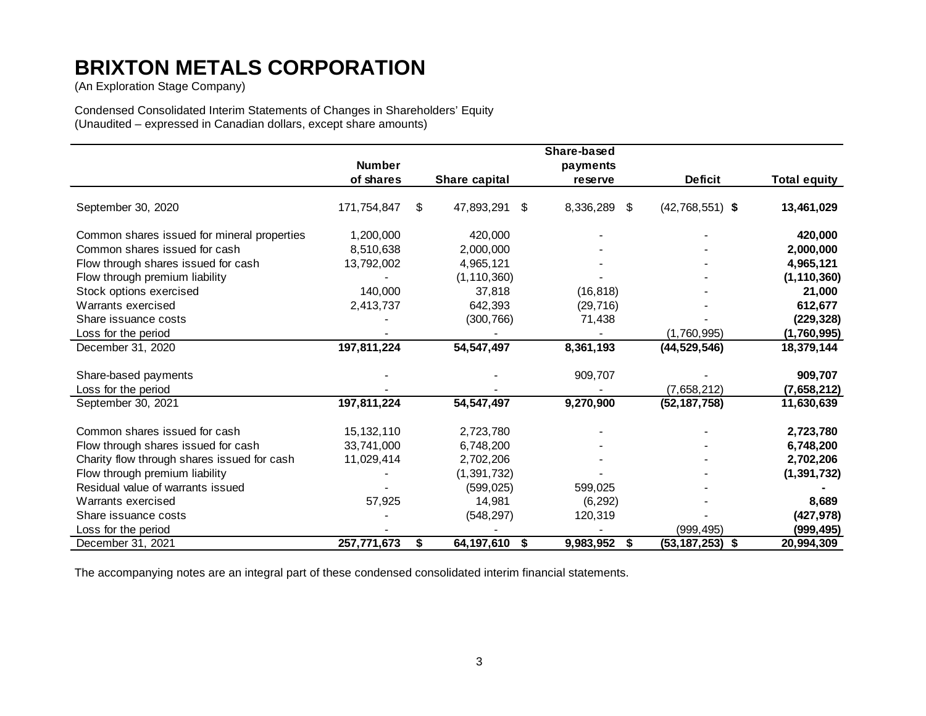(An Exploration Stage Company)

Condensed Consolidated Interim Statements of Changes in Shareholders' Equity (Unaudited – expressed in Canadian dollars, except share amounts)

|                                             |               |                        | Share-based |    |                     |                     |
|---------------------------------------------|---------------|------------------------|-------------|----|---------------------|---------------------|
|                                             | <b>Number</b> |                        | payments    |    |                     |                     |
|                                             | of shares     | Share capital          | reserve     |    | <b>Deficit</b>      | <b>Total equity</b> |
| September 30, 2020                          | 171,754,847   | \$<br>47,893,291<br>\$ | 8,336,289   | S  | $(42,768,551)$ \$   | 13,461,029          |
| Common shares issued for mineral properties | 1,200,000     | 420,000                |             |    |                     | 420,000             |
| Common shares issued for cash               | 8,510,638     | 2,000,000              |             |    |                     | 2,000,000           |
| Flow through shares issued for cash         | 13,792,002    | 4,965,121              |             |    |                     | 4,965,121           |
| Flow through premium liability              |               | (1, 110, 360)          |             |    |                     | (1, 110, 360)       |
| Stock options exercised                     | 140,000       | 37,818                 | (16, 818)   |    |                     | 21,000              |
| Warrants exercised                          | 2,413,737     | 642,393                | (29, 716)   |    |                     | 612,677             |
| Share issuance costs                        |               | (300, 766)             | 71,438      |    |                     | (229, 328)          |
| Loss for the period                         |               |                        |             |    | (1,760,995)         | (1,760,995)         |
| December 31, 2020                           | 197,811,224   | 54, 547, 497           | 8,361,193   |    | (44, 529, 546)      | 18,379,144          |
| Share-based payments                        |               |                        | 909,707     |    |                     | 909,707             |
| Loss for the period                         |               |                        |             |    | (7,658,212)         | (7,658,212)         |
| September 30, 2021                          | 197,811,224   | 54, 547, 497           | 9,270,900   |    | (52, 187, 758)      | 11,630,639          |
| Common shares issued for cash               | 15, 132, 110  | 2,723,780              |             |    |                     | 2,723,780           |
| Flow through shares issued for cash         | 33,741,000    | 6,748,200              |             |    |                     | 6,748,200           |
| Charity flow through shares issued for cash | 11,029,414    | 2,702,206              |             |    |                     | 2,702,206           |
| Flow through premium liability              |               | (1, 391, 732)          |             |    |                     | (1, 391, 732)       |
| Residual value of warrants issued           |               | (599, 025)             | 599,025     |    |                     |                     |
| Warrants exercised                          | 57,925        | 14,981                 | (6, 292)    |    |                     | 8,689               |
| Share issuance costs                        |               | (548, 297)             | 120,319     |    |                     | (427, 978)          |
| Loss for the period                         |               |                        |             |    | (999, 495)          | (999, 495)          |
| December 31, 2021                           | 257,771,673   | \$<br>64,197,610 \$    | 9,983,952   | \$ | $(53, 187, 253)$ \$ | 20,994,309          |

The accompanying notes are an integral part of these condensed consolidated interim financial statements.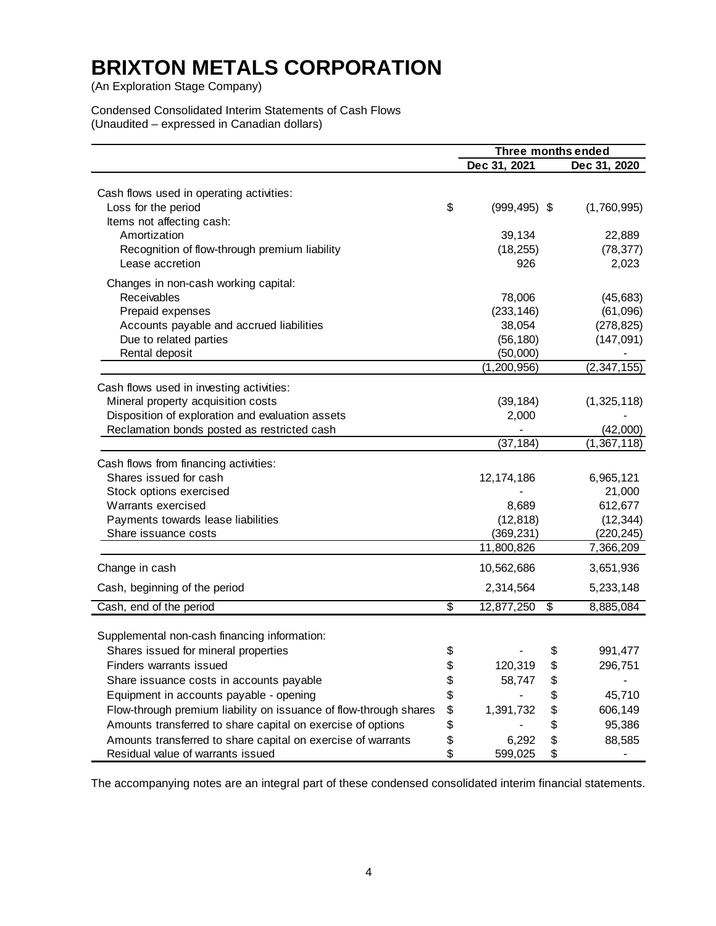(An Exploration Stage Company)

Condensed Consolidated Interim Statements of Cash Flows (Unaudited – expressed in Canadian dollars)

|                                                                   |                       |                            | Three months ended |
|-------------------------------------------------------------------|-----------------------|----------------------------|--------------------|
|                                                                   | Dec 31, 2021          |                            | Dec 31, 2020       |
| Cash flows used in operating activities:                          |                       |                            |                    |
| Loss for the period<br>Items not affecting cash:                  | \$<br>$(999, 495)$ \$ |                            | (1,760,995)        |
| Amortization                                                      | 39,134                |                            | 22,889             |
| Recognition of flow-through premium liability                     | (18, 255)             |                            | (78, 377)          |
| Lease accretion                                                   | 926                   |                            | 2,023              |
| Changes in non-cash working capital:                              |                       |                            |                    |
| Receivables                                                       | 78,006                |                            | (45, 683)          |
| Prepaid expenses                                                  | (233, 146)            |                            | (61,096)           |
| Accounts payable and accrued liabilities                          | 38,054                |                            | (278, 825)         |
| Due to related parties                                            | (56, 180)             |                            | (147, 091)         |
| Rental deposit                                                    | (50,000)              |                            |                    |
|                                                                   | (1, 200, 956)         |                            | (2, 347, 155)      |
| Cash flows used in investing activities:                          |                       |                            |                    |
| Mineral property acquisition costs                                | (39, 184)             |                            | (1,325,118)        |
| Disposition of exploration and evaluation assets                  | 2,000                 |                            |                    |
| Reclamation bonds posted as restricted cash                       |                       |                            | (42,000)           |
|                                                                   | (37, 184)             |                            | (1, 367, 118)      |
| Cash flows from financing activities:                             |                       |                            |                    |
| Shares issued for cash                                            | 12, 174, 186          |                            | 6,965,121          |
| Stock options exercised                                           |                       |                            | 21,000             |
| Warrants exercised                                                | 8,689                 |                            | 612,677            |
| Payments towards lease liabilities                                | (12, 818)             |                            | (12, 344)          |
| Share issuance costs                                              | (369, 231)            |                            | (220, 245)         |
|                                                                   | 11,800,826            |                            | 7,366,209          |
| Change in cash                                                    | 10,562,686            |                            | 3,651,936          |
| Cash, beginning of the period                                     | 2,314,564             |                            | 5,233,148          |
| Cash, end of the period                                           | \$<br>12,877,250      | $\boldsymbol{\mathsf{\$}}$ | 8,885,084          |
|                                                                   |                       |                            |                    |
| Supplemental non-cash financing information:                      |                       |                            |                    |
| Shares issued for mineral properties                              | \$                    | \$                         | 991,477            |
| Finders warrants issued                                           | \$<br>120,319         | Φ                          | 296,751            |
| Share issuance costs in accounts payable                          | \$<br>58,747          | \$                         |                    |
| Equipment in accounts payable - opening                           | \$                    | \$                         | 45,710             |
| Flow-through premium liability on issuance of flow-through shares | \$<br>1,391,732       | \$                         | 606,149            |
| Amounts transferred to share capital on exercise of options       | \$                    | \$                         | 95,386             |
| Amounts transferred to share capital on exercise of warrants      | \$<br>6,292           | \$                         | 88,585             |
| Residual value of warrants issued                                 | \$<br>599,025         | \$                         |                    |

The accompanying notes are an integral part of these condensed consolidated interim financial statements.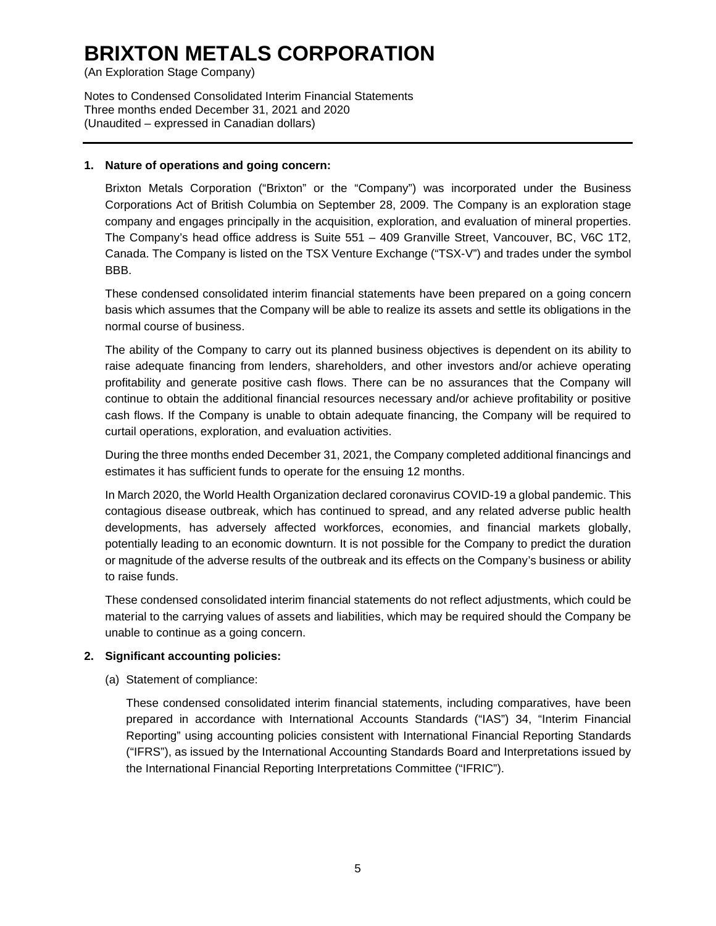(An Exploration Stage Company)

Notes to Condensed Consolidated Interim Financial Statements Three months ended December 31, 2021 and 2020 (Unaudited – expressed in Canadian dollars)

### **1. Nature of operations and going concern:**

Brixton Metals Corporation ("Brixton" or the "Company") was incorporated under the Business Corporations Act of British Columbia on September 28, 2009. The Company is an exploration stage company and engages principally in the acquisition, exploration, and evaluation of mineral properties. The Company's head office address is Suite 551 – 409 Granville Street, Vancouver, BC, V6C 1T2, Canada. The Company is listed on the TSX Venture Exchange ("TSX-V") and trades under the symbol BBB.

These condensed consolidated interim financial statements have been prepared on a going concern basis which assumes that the Company will be able to realize its assets and settle its obligations in the normal course of business.

The ability of the Company to carry out its planned business objectives is dependent on its ability to raise adequate financing from lenders, shareholders, and other investors and/or achieve operating profitability and generate positive cash flows. There can be no assurances that the Company will continue to obtain the additional financial resources necessary and/or achieve profitability or positive cash flows. If the Company is unable to obtain adequate financing, the Company will be required to curtail operations, exploration, and evaluation activities.

During the three months ended December 31, 2021, the Company completed additional financings and estimates it has sufficient funds to operate for the ensuing 12 months.

In March 2020, the World Health Organization declared coronavirus COVID-19 a global pandemic. This contagious disease outbreak, which has continued to spread, and any related adverse public health developments, has adversely affected workforces, economies, and financial markets globally, potentially leading to an economic downturn. It is not possible for the Company to predict the duration or magnitude of the adverse results of the outbreak and its effects on the Company's business or ability to raise funds.

These condensed consolidated interim financial statements do not reflect adjustments, which could be material to the carrying values of assets and liabilities, which may be required should the Company be unable to continue as a going concern.

# **2. Significant accounting policies:**

(a) Statement of compliance:

These condensed consolidated interim financial statements, including comparatives, have been prepared in accordance with International Accounts Standards ("IAS") 34, "Interim Financial Reporting" using accounting policies consistent with International Financial Reporting Standards ("IFRS"), as issued by the International Accounting Standards Board and Interpretations issued by the International Financial Reporting Interpretations Committee ("IFRIC").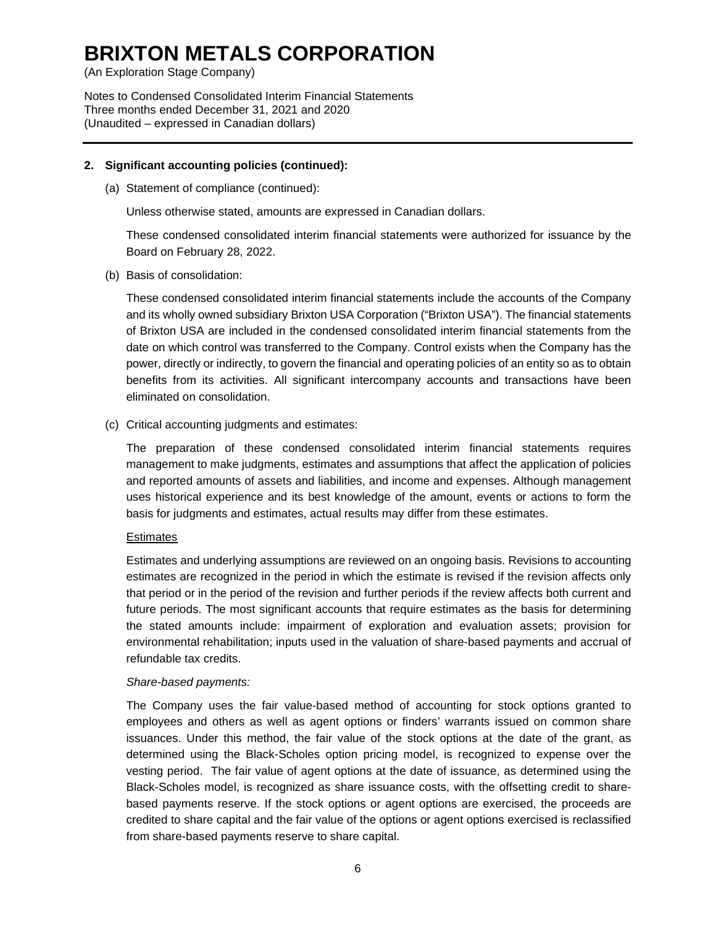(An Exploration Stage Company)

Notes to Condensed Consolidated Interim Financial Statements Three months ended December 31, 2021 and 2020 (Unaudited – expressed in Canadian dollars)

#### **2. Significant accounting policies (continued):**

(a) Statement of compliance (continued):

Unless otherwise stated, amounts are expressed in Canadian dollars.

These condensed consolidated interim financial statements were authorized for issuance by the Board on February 28, 2022.

(b) Basis of consolidation:

These condensed consolidated interim financial statements include the accounts of the Company and its wholly owned subsidiary Brixton USA Corporation ("Brixton USA"). The financial statements of Brixton USA are included in the condensed consolidated interim financial statements from the date on which control was transferred to the Company. Control exists when the Company has the power, directly or indirectly, to govern the financial and operating policies of an entity so as to obtain benefits from its activities. All significant intercompany accounts and transactions have been eliminated on consolidation.

(c) Critical accounting judgments and estimates:

The preparation of these condensed consolidated interim financial statements requires management to make judgments, estimates and assumptions that affect the application of policies and reported amounts of assets and liabilities, and income and expenses. Although management uses historical experience and its best knowledge of the amount, events or actions to form the basis for judgments and estimates, actual results may differ from these estimates.

# **Estimates**

Estimates and underlying assumptions are reviewed on an ongoing basis. Revisions to accounting estimates are recognized in the period in which the estimate is revised if the revision affects only that period or in the period of the revision and further periods if the review affects both current and future periods. The most significant accounts that require estimates as the basis for determining the stated amounts include: impairment of exploration and evaluation assets; provision for environmental rehabilitation; inputs used in the valuation of share-based payments and accrual of refundable tax credits.

# *Share-based payments:*

The Company uses the fair value-based method of accounting for stock options granted to employees and others as well as agent options or finders' warrants issued on common share issuances. Under this method, the fair value of the stock options at the date of the grant, as determined using the Black-Scholes option pricing model, is recognized to expense over the vesting period. The fair value of agent options at the date of issuance, as determined using the Black-Scholes model, is recognized as share issuance costs, with the offsetting credit to sharebased payments reserve. If the stock options or agent options are exercised, the proceeds are credited to share capital and the fair value of the options or agent options exercised is reclassified from share-based payments reserve to share capital.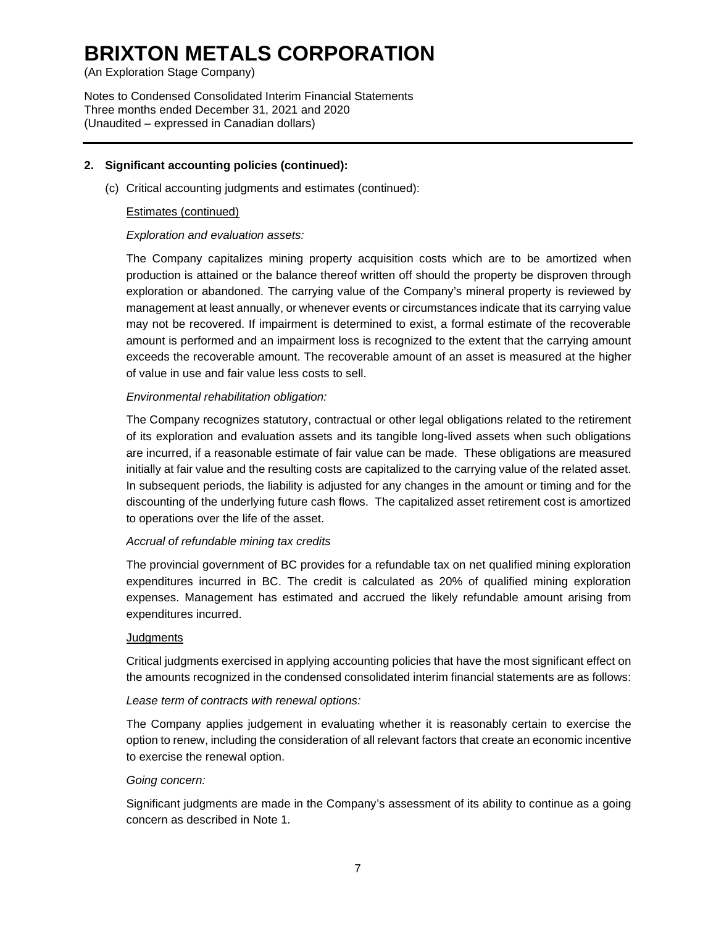(An Exploration Stage Company)

Notes to Condensed Consolidated Interim Financial Statements Three months ended December 31, 2021 and 2020 (Unaudited – expressed in Canadian dollars)

### **2. Significant accounting policies (continued):**

(c) Critical accounting judgments and estimates (continued):

### Estimates (continued)

## *Exploration and evaluation assets:*

The Company capitalizes mining property acquisition costs which are to be amortized when production is attained or the balance thereof written off should the property be disproven through exploration or abandoned. The carrying value of the Company's mineral property is reviewed by management at least annually, or whenever events or circumstances indicate that its carrying value may not be recovered. If impairment is determined to exist, a formal estimate of the recoverable amount is performed and an impairment loss is recognized to the extent that the carrying amount exceeds the recoverable amount. The recoverable amount of an asset is measured at the higher of value in use and fair value less costs to sell.

### *Environmental rehabilitation obligation:*

The Company recognizes statutory, contractual or other legal obligations related to the retirement of its exploration and evaluation assets and its tangible long-lived assets when such obligations are incurred, if a reasonable estimate of fair value can be made. These obligations are measured initially at fair value and the resulting costs are capitalized to the carrying value of the related asset. In subsequent periods, the liability is adjusted for any changes in the amount or timing and for the discounting of the underlying future cash flows. The capitalized asset retirement cost is amortized to operations over the life of the asset.

#### *Accrual of refundable mining tax credits*

The provincial government of BC provides for a refundable tax on net qualified mining exploration expenditures incurred in BC. The credit is calculated as 20% of qualified mining exploration expenses. Management has estimated and accrued the likely refundable amount arising from expenditures incurred.

#### **Judgments**

Critical judgments exercised in applying accounting policies that have the most significant effect on the amounts recognized in the condensed consolidated interim financial statements are as follows:

#### *Lease term of contracts with renewal options:*

The Company applies judgement in evaluating whether it is reasonably certain to exercise the option to renew, including the consideration of all relevant factors that create an economic incentive to exercise the renewal option.

#### *Going concern:*

Significant judgments are made in the Company's assessment of its ability to continue as a going concern as described in Note 1.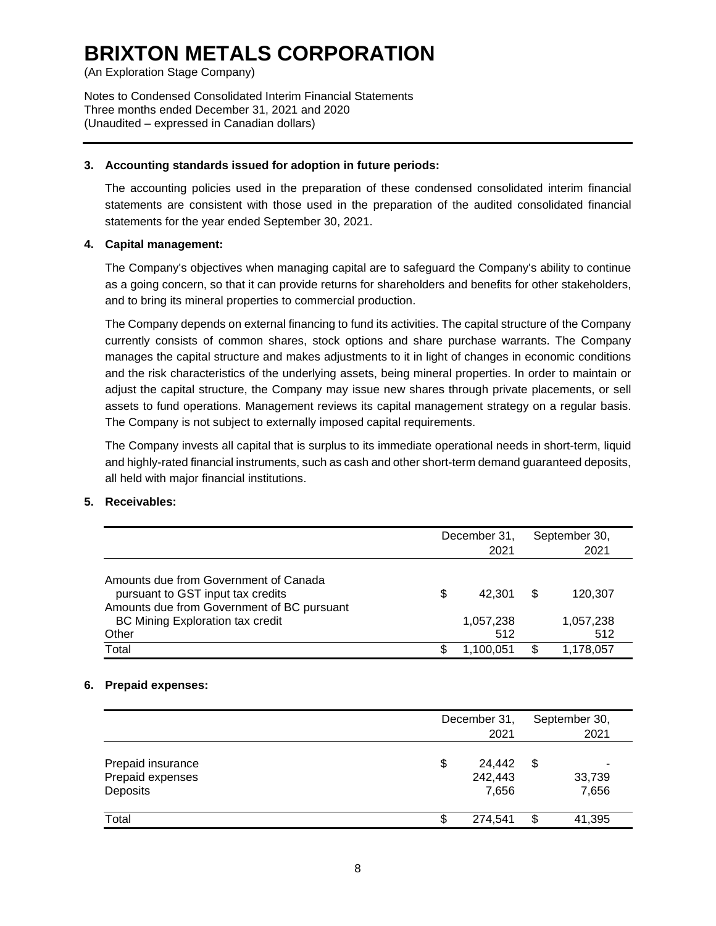(An Exploration Stage Company)

Notes to Condensed Consolidated Interim Financial Statements Three months ended December 31, 2021 and 2020 (Unaudited – expressed in Canadian dollars)

### **3. Accounting standards issued for adoption in future periods:**

The accounting policies used in the preparation of these condensed consolidated interim financial statements are consistent with those used in the preparation of the audited consolidated financial statements for the year ended September 30, 2021.

### **4. Capital management:**

The Company's objectives when managing capital are to safeguard the Company's ability to continue as a going concern, so that it can provide returns for shareholders and benefits for other stakeholders, and to bring its mineral properties to commercial production.

The Company depends on external financing to fund its activities. The capital structure of the Company currently consists of common shares, stock options and share purchase warrants. The Company manages the capital structure and makes adjustments to it in light of changes in economic conditions and the risk characteristics of the underlying assets, being mineral properties. In order to maintain or adjust the capital structure, the Company may issue new shares through private placements, or sell assets to fund operations. Management reviews its capital management strategy on a regular basis. The Company is not subject to externally imposed capital requirements.

The Company invests all capital that is surplus to its immediate operational needs in short-term, liquid and highly-rated financial instruments, such as cash and other short-term demand guaranteed deposits, all held with major financial institutions.

# **5. Receivables:**

|                                                                                                                          |    | December 31,<br>2021 |   | September 30,<br>2021 |
|--------------------------------------------------------------------------------------------------------------------------|----|----------------------|---|-----------------------|
| Amounts due from Government of Canada<br>pursuant to GST input tax credits<br>Amounts due from Government of BC pursuant | \$ | 42.301               | S | 120.307               |
| <b>BC Mining Exploration tax credit</b><br>Other                                                                         |    | 1,057,238<br>512     |   | 1,057,238<br>512      |
| Total                                                                                                                    | S  | 1.100.051            |   | 1,178,057             |

#### **6. Prepaid expenses:**

|                                                   | December 31,<br>2021             | September 30,<br>2021 |
|---------------------------------------------------|----------------------------------|-----------------------|
| Prepaid insurance<br>Prepaid expenses<br>Deposits | \$<br>24,442<br>242,443<br>7,656 | \$<br>33,739<br>7,656 |
| Total                                             | \$<br>274,541                    | \$<br>41,395          |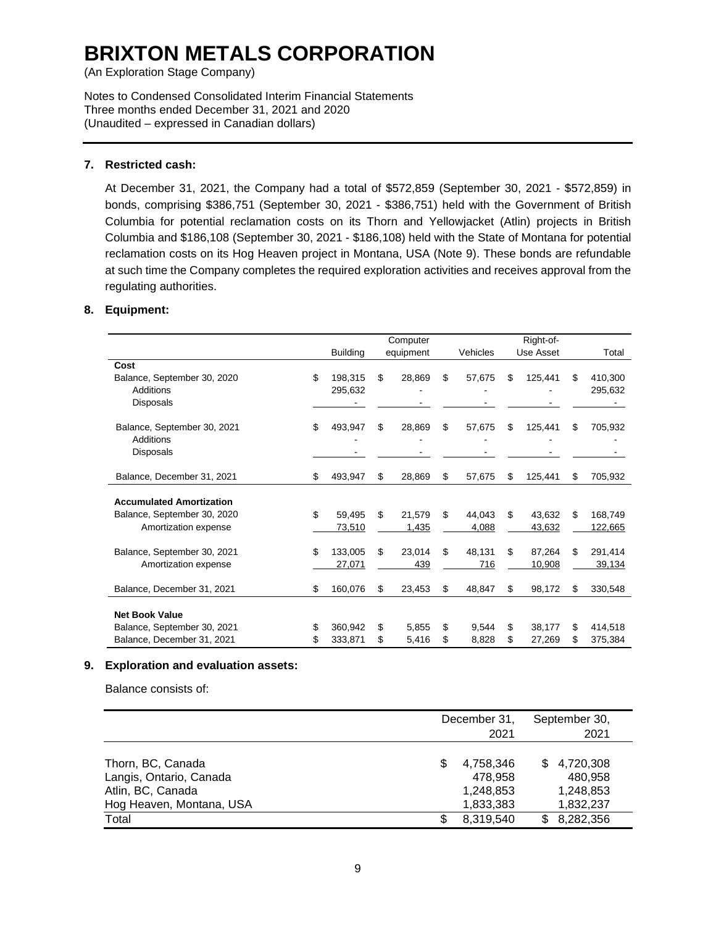(An Exploration Stage Company)

Notes to Condensed Consolidated Interim Financial Statements Three months ended December 31, 2021 and 2020 (Unaudited – expressed in Canadian dollars)

### **7. Restricted cash:**

At December 31, 2021, the Company had a total of \$572,859 (September 30, 2021 - \$572,859) in bonds, comprising \$386,751 (September 30, 2021 - \$386,751) held with the Government of British Columbia for potential reclamation costs on its Thorn and Yellowjacket (Atlin) projects in British Columbia and \$186,108 (September 30, 2021 - \$186,108) held with the State of Montana for potential reclamation costs on its Hog Heaven project in Montana, USA (Note 9). These bonds are refundable at such time the Company completes the required exploration activities and receives approval from the regulating authorities.

### **8. Equipment:**

|                                 |                 | Computer     |              |    | Right-of- |    |         |
|---------------------------------|-----------------|--------------|--------------|----|-----------|----|---------|
|                                 | <b>Building</b> | equipment    | Vehicles     |    | Use Asset |    | Total   |
| Cost                            |                 |              |              |    |           |    |         |
| Balance, September 30, 2020     | \$<br>198,315   | \$<br>28.869 | \$<br>57,675 | S  | 125,441   | \$ | 410.300 |
| Additions                       | 295,632         |              |              |    |           |    | 295,632 |
| <b>Disposals</b>                |                 |              |              |    |           |    |         |
| Balance, September 30, 2021     | \$<br>493,947   | \$<br>28,869 | \$<br>57,675 | \$ | 125,441   | \$ | 705,932 |
| Additions                       |                 |              |              |    |           |    |         |
| <b>Disposals</b>                |                 |              |              |    |           |    |         |
| Balance, December 31, 2021      | \$<br>493,947   | \$<br>28,869 | \$<br>57,675 | \$ | 125,441   | \$ | 705,932 |
| <b>Accumulated Amortization</b> |                 |              |              |    |           |    |         |
| Balance, September 30, 2020     | \$<br>59.495    | \$<br>21.579 | \$<br>44.043 | \$ | 43.632    | S  | 168.749 |
| Amortization expense            | 73,510          | 1,435        | 4,088        |    | 43,632    |    | 122,665 |
|                                 |                 |              |              |    |           |    |         |
| Balance, September 30, 2021     | \$<br>133,005   | \$<br>23,014 | \$<br>48,131 | \$ | 87,264    | \$ | 291,414 |
| Amortization expense            | 27,071          | 439          | 716          |    | 10,908    |    | 39,134  |
|                                 |                 |              |              |    |           |    |         |
| Balance, December 31, 2021      | \$<br>160,076   | \$<br>23.453 | \$<br>48.847 | \$ | 98,172    | \$ | 330,548 |
|                                 |                 |              |              |    |           |    |         |
| <b>Net Book Value</b>           |                 |              |              |    |           |    |         |
| Balance, September 30, 2021     | \$<br>360,942   | \$<br>5.855  | \$<br>9.544  | \$ | 38,177    | \$ | 414,518 |
| Balance, December 31, 2021      | 333,871         | \$<br>5,416  | \$<br>8,828  | \$ | 27,269    | S  | 375,384 |

#### **9. Exploration and evaluation assets:**

Balance consists of:

|                                                                                               |    | December 31,<br>2021                           | September 30,<br>2021                                 |
|-----------------------------------------------------------------------------------------------|----|------------------------------------------------|-------------------------------------------------------|
| Thorn, BC, Canada<br>Langis, Ontario, Canada<br>Atlin, BC, Canada<br>Hog Heaven, Montana, USA | S  | 4,758,346<br>478,958<br>1,248,853<br>1,833,383 | 4,720,308<br>\$.<br>480,958<br>1,248,853<br>1,832,237 |
| Total                                                                                         | S. | 8,319,540                                      | 8,282,356<br>\$.                                      |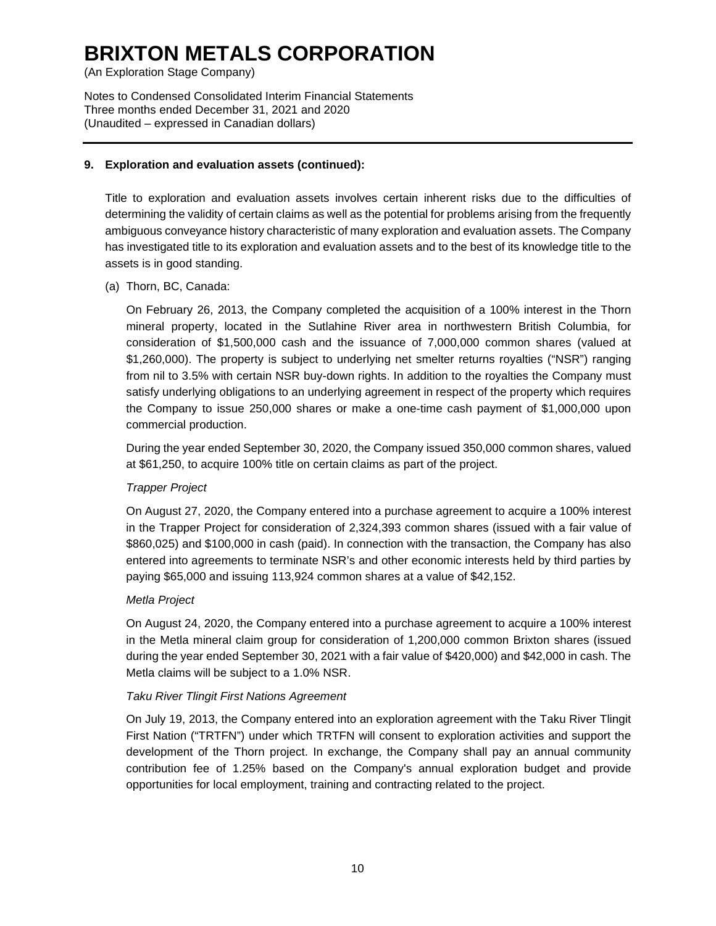(An Exploration Stage Company)

Notes to Condensed Consolidated Interim Financial Statements Three months ended December 31, 2021 and 2020 (Unaudited – expressed in Canadian dollars)

# **9. Exploration and evaluation assets (continued):**

Title to exploration and evaluation assets involves certain inherent risks due to the difficulties of determining the validity of certain claims as well as the potential for problems arising from the frequently ambiguous conveyance history characteristic of many exploration and evaluation assets. The Company has investigated title to its exploration and evaluation assets and to the best of its knowledge title to the assets is in good standing.

(a) Thorn, BC, Canada:

On February 26, 2013, the Company completed the acquisition of a 100% interest in the Thorn mineral property, located in the Sutlahine River area in northwestern British Columbia, for consideration of \$1,500,000 cash and the issuance of 7,000,000 common shares (valued at \$1,260,000). The property is subject to underlying net smelter returns royalties ("NSR") ranging from nil to 3.5% with certain NSR buy-down rights. In addition to the royalties the Company must satisfy underlying obligations to an underlying agreement in respect of the property which requires the Company to issue 250,000 shares or make a one-time cash payment of \$1,000,000 upon commercial production.

During the year ended September 30, 2020, the Company issued 350,000 common shares, valued at \$61,250, to acquire 100% title on certain claims as part of the project.

# *Trapper Project*

On August 27, 2020, the Company entered into a purchase agreement to acquire a 100% interest in the Trapper Project for consideration of 2,324,393 common shares (issued with a fair value of \$860,025) and \$100,000 in cash (paid). In connection with the transaction, the Company has also entered into agreements to terminate NSR's and other economic interests held by third parties by paying \$65,000 and issuing 113,924 common shares at a value of \$42,152.

# *Metla Project*

On August 24, 2020, the Company entered into a purchase agreement to acquire a 100% interest in the Metla mineral claim group for consideration of 1,200,000 common Brixton shares (issued during the year ended September 30, 2021 with a fair value of \$420,000) and \$42,000 in cash. The Metla claims will be subject to a 1.0% NSR.

# *Taku River Tlingit First Nations Agreement*

On July 19, 2013, the Company entered into an exploration agreement with the Taku River Tlingit First Nation ("TRTFN") under which TRTFN will consent to exploration activities and support the development of the Thorn project. In exchange, the Company shall pay an annual community contribution fee of 1.25% based on the Company's annual exploration budget and provide opportunities for local employment, training and contracting related to the project.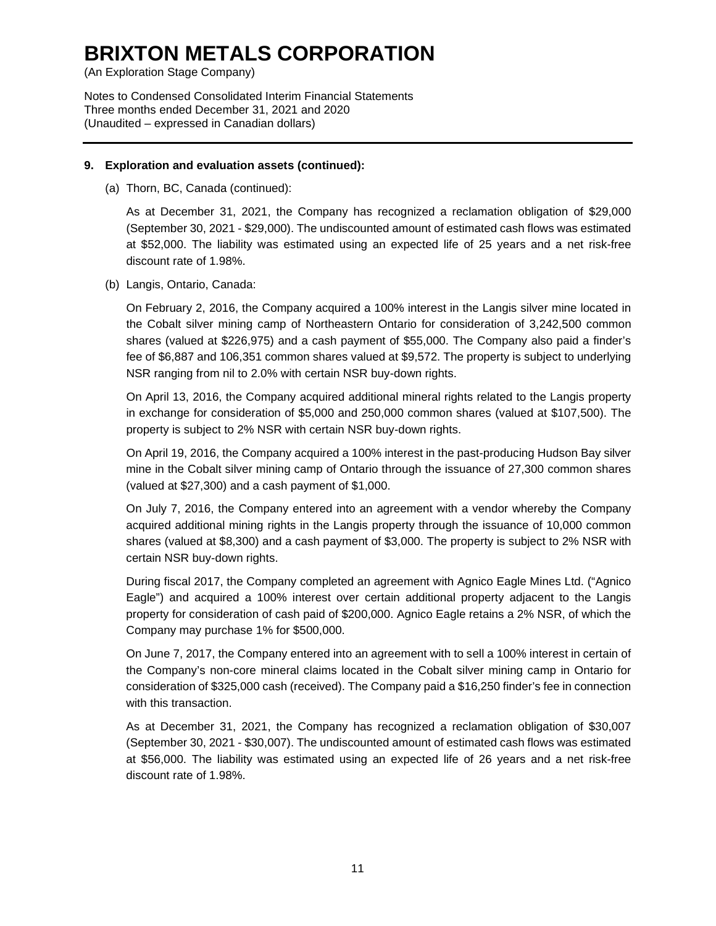(An Exploration Stage Company)

Notes to Condensed Consolidated Interim Financial Statements Three months ended December 31, 2021 and 2020 (Unaudited – expressed in Canadian dollars)

#### **9. Exploration and evaluation assets (continued):**

(a) Thorn, BC, Canada (continued):

As at December 31, 2021, the Company has recognized a reclamation obligation of \$29,000 (September 30, 2021 - \$29,000). The undiscounted amount of estimated cash flows was estimated at \$52,000. The liability was estimated using an expected life of 25 years and a net risk-free discount rate of 1.98%.

(b) Langis, Ontario, Canada:

On February 2, 2016, the Company acquired a 100% interest in the Langis silver mine located in the Cobalt silver mining camp of Northeastern Ontario for consideration of 3,242,500 common shares (valued at \$226,975) and a cash payment of \$55,000. The Company also paid a finder's fee of \$6,887 and 106,351 common shares valued at \$9,572. The property is subject to underlying NSR ranging from nil to 2.0% with certain NSR buy-down rights.

On April 13, 2016, the Company acquired additional mineral rights related to the Langis property in exchange for consideration of \$5,000 and 250,000 common shares (valued at \$107,500). The property is subject to 2% NSR with certain NSR buy-down rights.

On April 19, 2016, the Company acquired a 100% interest in the past-producing Hudson Bay silver mine in the Cobalt silver mining camp of Ontario through the issuance of 27,300 common shares (valued at \$27,300) and a cash payment of \$1,000.

On July 7, 2016, the Company entered into an agreement with a vendor whereby the Company acquired additional mining rights in the Langis property through the issuance of 10,000 common shares (valued at \$8,300) and a cash payment of \$3,000. The property is subject to 2% NSR with certain NSR buy-down rights.

During fiscal 2017, the Company completed an agreement with Agnico Eagle Mines Ltd. ("Agnico Eagle") and acquired a 100% interest over certain additional property adjacent to the Langis property for consideration of cash paid of \$200,000. Agnico Eagle retains a 2% NSR, of which the Company may purchase 1% for \$500,000.

On June 7, 2017, the Company entered into an agreement with to sell a 100% interest in certain of the Company's non-core mineral claims located in the Cobalt silver mining camp in Ontario for consideration of \$325,000 cash (received). The Company paid a \$16,250 finder's fee in connection with this transaction.

As at December 31, 2021, the Company has recognized a reclamation obligation of \$30,007 (September 30, 2021 - \$30,007). The undiscounted amount of estimated cash flows was estimated at \$56,000. The liability was estimated using an expected life of 26 years and a net risk-free discount rate of 1.98%.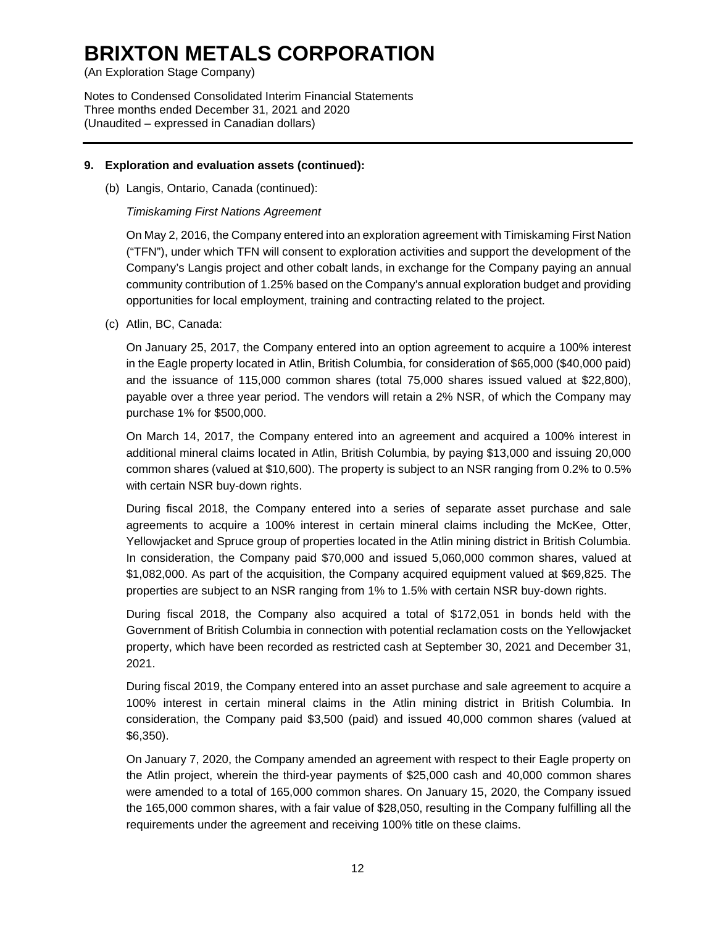(An Exploration Stage Company)

Notes to Condensed Consolidated Interim Financial Statements Three months ended December 31, 2021 and 2020 (Unaudited – expressed in Canadian dollars)

### **9. Exploration and evaluation assets (continued):**

(b) Langis, Ontario, Canada (continued):

### *Timiskaming First Nations Agreement*

On May 2, 2016, the Company entered into an exploration agreement with Timiskaming First Nation ("TFN"), under which TFN will consent to exploration activities and support the development of the Company's Langis project and other cobalt lands, in exchange for the Company paying an annual community contribution of 1.25% based on the Company's annual exploration budget and providing opportunities for local employment, training and contracting related to the project.

(c) Atlin, BC, Canada:

On January 25, 2017, the Company entered into an option agreement to acquire a 100% interest in the Eagle property located in Atlin, British Columbia, for consideration of \$65,000 (\$40,000 paid) and the issuance of 115,000 common shares (total 75,000 shares issued valued at \$22,800), payable over a three year period. The vendors will retain a 2% NSR, of which the Company may purchase 1% for \$500,000.

On March 14, 2017, the Company entered into an agreement and acquired a 100% interest in additional mineral claims located in Atlin, British Columbia, by paying \$13,000 and issuing 20,000 common shares (valued at \$10,600). The property is subject to an NSR ranging from 0.2% to 0.5% with certain NSR buy-down rights.

During fiscal 2018, the Company entered into a series of separate asset purchase and sale agreements to acquire a 100% interest in certain mineral claims including the McKee, Otter, Yellowjacket and Spruce group of properties located in the Atlin mining district in British Columbia. In consideration, the Company paid \$70,000 and issued 5,060,000 common shares, valued at \$1,082,000. As part of the acquisition, the Company acquired equipment valued at \$69,825. The properties are subject to an NSR ranging from 1% to 1.5% with certain NSR buy-down rights.

During fiscal 2018, the Company also acquired a total of \$172,051 in bonds held with the Government of British Columbia in connection with potential reclamation costs on the Yellowjacket property, which have been recorded as restricted cash at September 30, 2021 and December 31, 2021.

During fiscal 2019, the Company entered into an asset purchase and sale agreement to acquire a 100% interest in certain mineral claims in the Atlin mining district in British Columbia. In consideration, the Company paid \$3,500 (paid) and issued 40,000 common shares (valued at \$6,350).

On January 7, 2020, the Company amended an agreement with respect to their Eagle property on the Atlin project, wherein the third-year payments of \$25,000 cash and 40,000 common shares were amended to a total of 165,000 common shares. On January 15, 2020, the Company issued the 165,000 common shares, with a fair value of \$28,050, resulting in the Company fulfilling all the requirements under the agreement and receiving 100% title on these claims.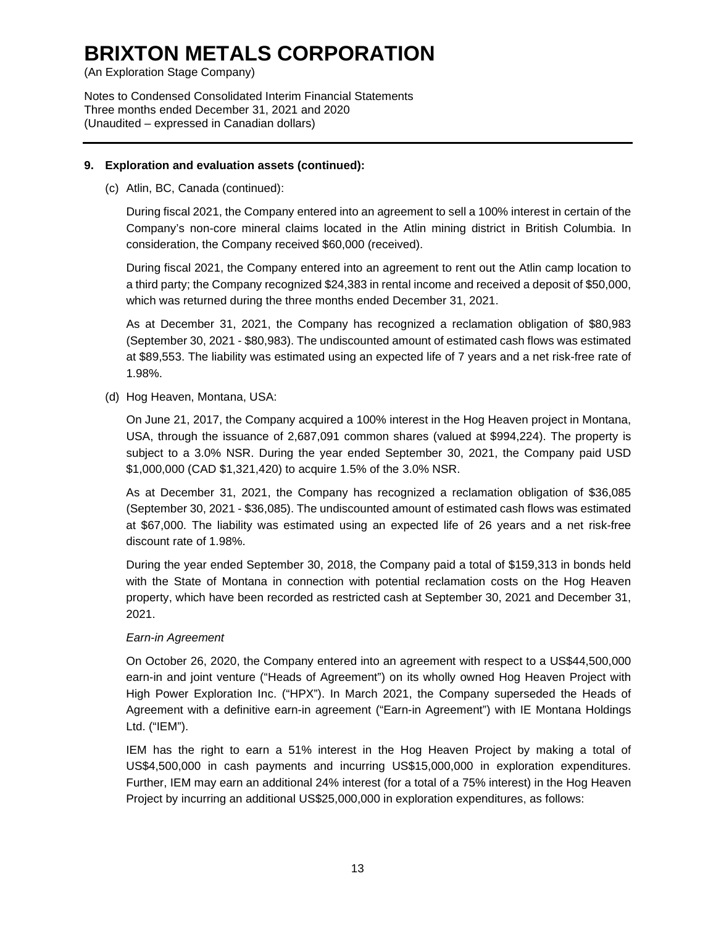(An Exploration Stage Company)

Notes to Condensed Consolidated Interim Financial Statements Three months ended December 31, 2021 and 2020 (Unaudited – expressed in Canadian dollars)

### **9. Exploration and evaluation assets (continued):**

(c) Atlin, BC, Canada (continued):

During fiscal 2021, the Company entered into an agreement to sell a 100% interest in certain of the Company's non-core mineral claims located in the Atlin mining district in British Columbia. In consideration, the Company received \$60,000 (received).

During fiscal 2021, the Company entered into an agreement to rent out the Atlin camp location to a third party; the Company recognized \$24,383 in rental income and received a deposit of \$50,000, which was returned during the three months ended December 31, 2021.

As at December 31, 2021, the Company has recognized a reclamation obligation of \$80,983 (September 30, 2021 - \$80,983). The undiscounted amount of estimated cash flows was estimated at \$89,553. The liability was estimated using an expected life of 7 years and a net risk-free rate of 1.98%.

(d) Hog Heaven, Montana, USA:

On June 21, 2017, the Company acquired a 100% interest in the Hog Heaven project in Montana, USA, through the issuance of 2,687,091 common shares (valued at \$994,224). The property is subject to a 3.0% NSR. During the year ended September 30, 2021, the Company paid USD \$1,000,000 (CAD \$1,321,420) to acquire 1.5% of the 3.0% NSR.

As at December 31, 2021, the Company has recognized a reclamation obligation of \$36,085 (September 30, 2021 - \$36,085). The undiscounted amount of estimated cash flows was estimated at \$67,000. The liability was estimated using an expected life of 26 years and a net risk-free discount rate of 1.98%.

During the year ended September 30, 2018, the Company paid a total of \$159,313 in bonds held with the State of Montana in connection with potential reclamation costs on the Hog Heaven property, which have been recorded as restricted cash at September 30, 2021 and December 31, 2021.

# *Earn-in Agreement*

On October 26, 2020, the Company entered into an agreement with respect to a US\$44,500,000 earn-in and joint venture ("Heads of Agreement") on its wholly owned Hog Heaven Project with High Power Exploration Inc. ("HPX"). In March 2021, the Company superseded the Heads of Agreement with a definitive earn-in agreement ("Earn-in Agreement") with IE Montana Holdings Ltd. ("IEM").

IEM has the right to earn a 51% interest in the Hog Heaven Project by making a total of US\$4,500,000 in cash payments and incurring US\$15,000,000 in exploration expenditures. Further, IEM may earn an additional 24% interest (for a total of a 75% interest) in the Hog Heaven Project by incurring an additional US\$25,000,000 in exploration expenditures, as follows: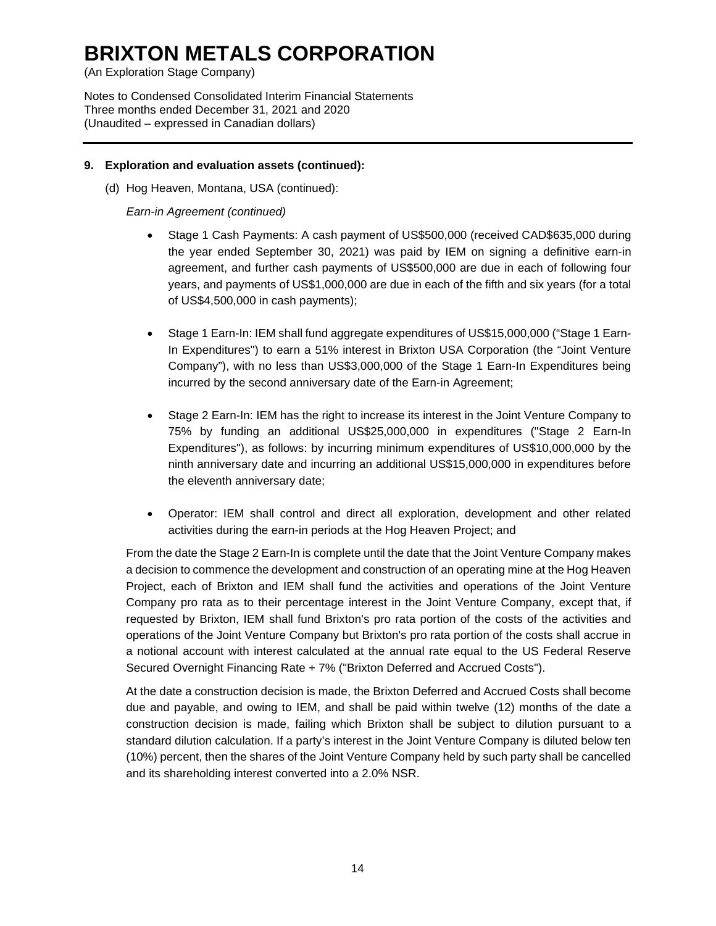(An Exploration Stage Company)

Notes to Condensed Consolidated Interim Financial Statements Three months ended December 31, 2021 and 2020 (Unaudited – expressed in Canadian dollars)

### **9. Exploration and evaluation assets (continued):**

(d) Hog Heaven, Montana, USA (continued):

*Earn-in Agreement (continued)*

- Stage 1 Cash Payments: A cash payment of US\$500,000 (received CAD\$635,000 during the year ended September 30, 2021) was paid by IEM on signing a definitive earn-in agreement, and further cash payments of US\$500,000 are due in each of following four years, and payments of US\$1,000,000 are due in each of the fifth and six years (for a total of US\$4,500,000 in cash payments);
- Stage 1 Earn-In: IEM shall fund aggregate expenditures of US\$15,000,000 ("Stage 1 Earn-In Expenditures") to earn a 51% interest in Brixton USA Corporation (the "Joint Venture Company"), with no less than US\$3,000,000 of the Stage 1 Earn-In Expenditures being incurred by the second anniversary date of the Earn-in Agreement;
- Stage 2 Earn-In: IEM has the right to increase its interest in the Joint Venture Company to 75% by funding an additional US\$25,000,000 in expenditures ("Stage 2 Earn-In Expenditures"), as follows: by incurring minimum expenditures of US\$10,000,000 by the ninth anniversary date and incurring an additional US\$15,000,000 in expenditures before the eleventh anniversary date;
- Operator: IEM shall control and direct all exploration, development and other related activities during the earn-in periods at the Hog Heaven Project; and

From the date the Stage 2 Earn-In is complete until the date that the Joint Venture Company makes a decision to commence the development and construction of an operating mine at the Hog Heaven Project, each of Brixton and IEM shall fund the activities and operations of the Joint Venture Company pro rata as to their percentage interest in the Joint Venture Company, except that, if requested by Brixton, IEM shall fund Brixton's pro rata portion of the costs of the activities and operations of the Joint Venture Company but Brixton's pro rata portion of the costs shall accrue in a notional account with interest calculated at the annual rate equal to the US Federal Reserve Secured Overnight Financing Rate + 7% ("Brixton Deferred and Accrued Costs").

At the date a construction decision is made, the Brixton Deferred and Accrued Costs shall become due and payable, and owing to IEM, and shall be paid within twelve (12) months of the date a construction decision is made, failing which Brixton shall be subject to dilution pursuant to a standard dilution calculation. If a party's interest in the Joint Venture Company is diluted below ten (10%) percent, then the shares of the Joint Venture Company held by such party shall be cancelled and its shareholding interest converted into a 2.0% NSR.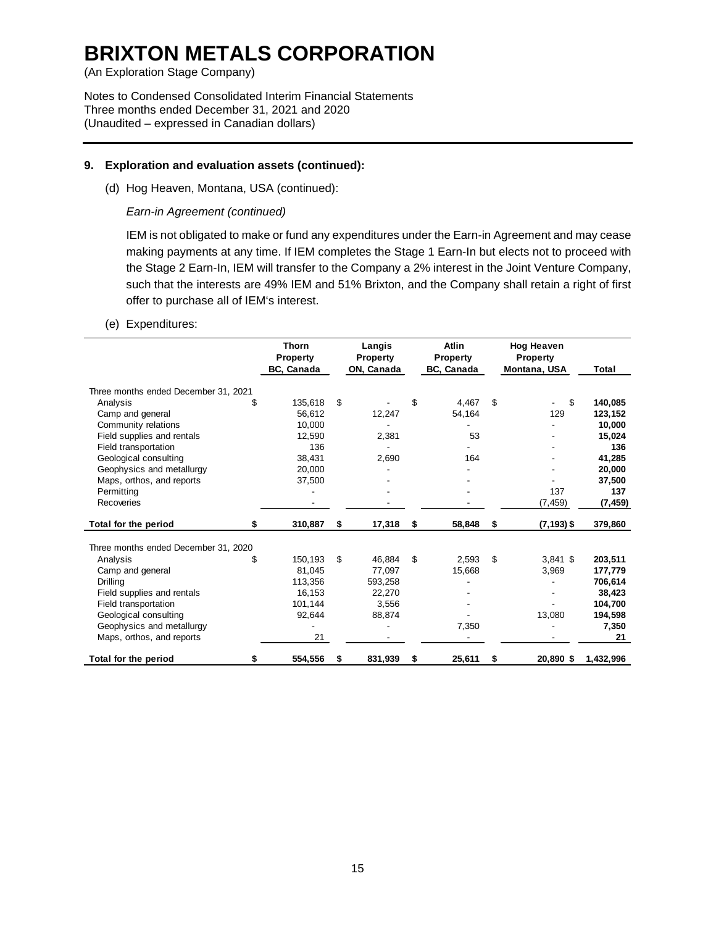(An Exploration Stage Company)

Notes to Condensed Consolidated Interim Financial Statements Three months ended December 31, 2021 and 2020 (Unaudited – expressed in Canadian dollars)

### **9. Exploration and evaluation assets (continued):**

(d) Hog Heaven, Montana, USA (continued):

### *Earn-in Agreement (continued)*

IEM is not obligated to make or fund any expenditures under the Earn-in Agreement and may cease making payments at any time. If IEM completes the Stage 1 Earn-In but elects not to proceed with the Stage 2 Earn-In, IEM will transfer to the Company a 2% interest in the Joint Venture Company, such that the interests are 49% IEM and 51% Brixton, and the Company shall retain a right of first offer to purchase all of IEM's interest.

### (e) Expenditures:

|                                      | <b>Thorn</b><br><b>Property</b> |     | Langis<br>Property |     | <b>Atlin</b><br>Property |     | <b>Hog Heaven</b><br><b>Property</b> |           |
|--------------------------------------|---------------------------------|-----|--------------------|-----|--------------------------|-----|--------------------------------------|-----------|
|                                      | BC, Canada                      |     | ON, Canada         |     | BC, Canada               |     | Montana, USA                         | Total     |
| Three months ended December 31, 2021 |                                 |     |                    |     |                          |     |                                      |           |
| Analysis                             | \$<br>135,618                   | \$. |                    | \$  | 4,467                    | \$  | \$                                   | 140,085   |
| Camp and general                     | 56,612                          |     | 12,247             |     | 54,164                   |     | 129                                  | 123,152   |
| Community relations                  | 10,000                          |     |                    |     |                          |     |                                      | 10.000    |
| Field supplies and rentals           | 12,590                          |     | 2,381              |     | 53                       |     |                                      | 15,024    |
| Field transportation                 | 136                             |     |                    |     |                          |     |                                      | 136       |
| Geological consulting                | 38,431                          |     | 2,690              |     | 164                      |     |                                      | 41,285    |
| Geophysics and metallurgy            | 20,000                          |     |                    |     |                          |     |                                      | 20,000    |
| Maps, orthos, and reports            | 37,500                          |     |                    |     |                          |     |                                      | 37,500    |
| Permitting                           |                                 |     |                    |     |                          |     | 137                                  | 137       |
| Recoveries                           |                                 |     |                    |     |                          |     | (7, 459)                             | (7, 459)  |
| Total for the period                 | \$<br>310,887                   | \$  | 17,318             | S   | 58.848                   | S.  | $(7, 193)$ \$                        | 379,860   |
| Three months ended December 31, 2020 |                                 |     |                    |     |                          |     |                                      |           |
| Analysis                             | \$<br>150,193                   | \$. | 46,884             | \$. | 2,593                    | \$. | $3,841$ \$                           | 203,511   |
| Camp and general                     | 81,045                          |     | 77,097             |     | 15,668                   |     | 3,969                                | 177,779   |
| Drilling                             | 113,356                         |     | 593,258            |     |                          |     |                                      | 706,614   |
| Field supplies and rentals           | 16,153                          |     | 22.270             |     |                          |     |                                      | 38.423    |
| Field transportation                 | 101,144                         |     | 3,556              |     |                          |     |                                      | 104,700   |
| Geological consulting                | 92,644                          |     | 88,874             |     |                          |     | 13,080                               | 194,598   |
| Geophysics and metallurgy            |                                 |     |                    |     | 7,350                    |     |                                      | 7,350     |
| Maps, orthos, and reports            | 21                              |     |                    |     |                          |     |                                      | 21        |
| Total for the period                 | \$<br>554,556                   | \$  | 831,939            | \$  | 25,611                   | \$  | 20,890 \$                            | 1,432,996 |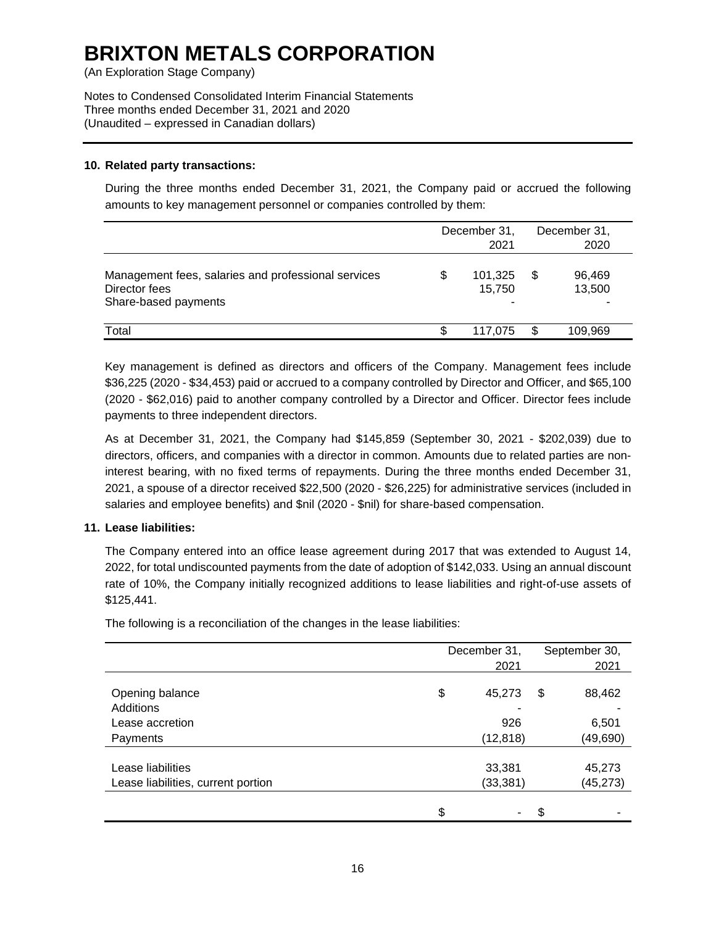(An Exploration Stage Company)

Notes to Condensed Consolidated Interim Financial Statements Three months ended December 31, 2021 and 2020 (Unaudited – expressed in Canadian dollars)

### **10. Related party transactions:**

During the three months ended December 31, 2021, the Company paid or accrued the following amounts to key management personnel or companies controlled by them:

|                                                                                              | December 31,<br>2021    |   | December 31,<br>2020 |
|----------------------------------------------------------------------------------------------|-------------------------|---|----------------------|
| Management fees, salaries and professional services<br>Director fees<br>Share-based payments | \$<br>101,325<br>15,750 | S | 96,469<br>13,500     |
| Total                                                                                        | 117.075                 |   | 109.969              |

Key management is defined as directors and officers of the Company. Management fees include \$36,225 (2020 - \$34,453) paid or accrued to a company controlled by Director and Officer, and \$65,100 (2020 - \$62,016) paid to another company controlled by a Director and Officer. Director fees include payments to three independent directors.

As at December 31, 2021, the Company had \$145,859 (September 30, 2021 - \$202,039) due to directors, officers, and companies with a director in common. Amounts due to related parties are noninterest bearing, with no fixed terms of repayments. During the three months ended December 31, 2021, a spouse of a director received \$22,500 (2020 - \$26,225) for administrative services (included in salaries and employee benefits) and \$nil (2020 - \$nil) for share-based compensation.

# **11. Lease liabilities:**

The Company entered into an office lease agreement during 2017 that was extended to August 14, 2022, for total undiscounted payments from the date of adoption of \$142,033. Using an annual discount rate of 10%, the Company initially recognized additions to lease liabilities and right-of-use assets of \$125,441.

The following is a reconciliation of the changes in the lease liabilities:

|                                    | December 31, |           |    | September 30, |
|------------------------------------|--------------|-----------|----|---------------|
|                                    |              | 2021      |    | 2021          |
| Opening balance                    | \$           | 45,273    | \$ | 88,462        |
| Additions<br>Lease accretion       |              | ۰<br>926  |    | 6,501         |
| Payments                           |              | (12, 818) |    | (49, 690)     |
| Lease liabilities                  |              | 33,381    |    | 45,273        |
| Lease liabilities, current portion |              | (33, 381) |    | (45, 273)     |
|                                    | \$           | ۰         | \$ |               |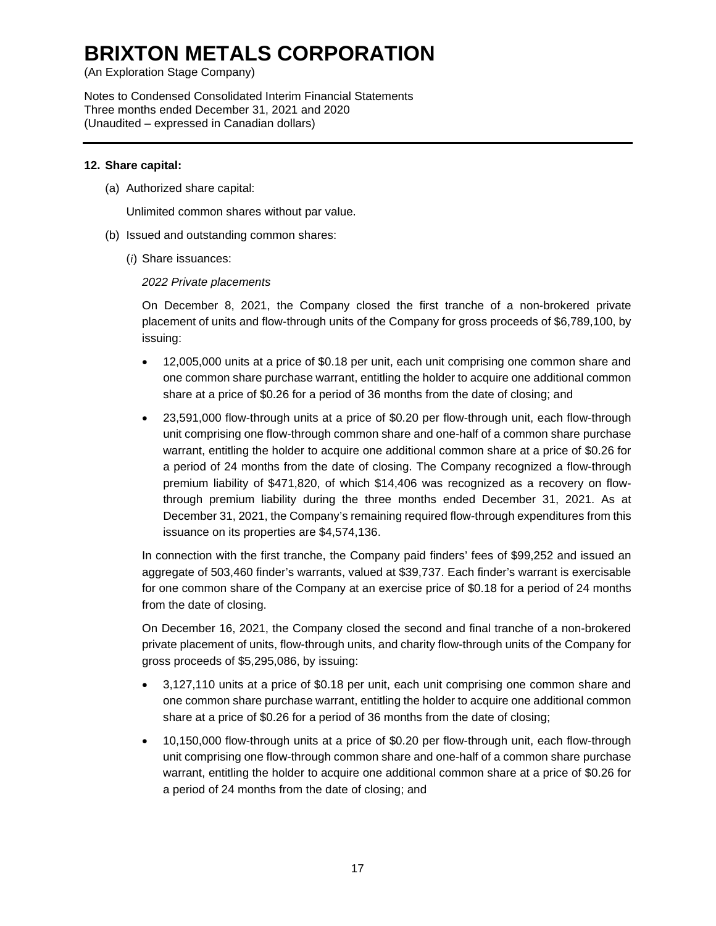(An Exploration Stage Company)

Notes to Condensed Consolidated Interim Financial Statements Three months ended December 31, 2021 and 2020 (Unaudited – expressed in Canadian dollars)

### **12. Share capital:**

(a) Authorized share capital:

Unlimited common shares without par value.

- (b) Issued and outstanding common shares:
	- (*i*) Share issuances:

### *2022 Private placements*

On December 8, 2021, the Company closed the first tranche of a non-brokered private placement of units and flow-through units of the Company for gross proceeds of \$6,789,100, by issuing:

- 12,005,000 units at a price of \$0.18 per unit, each unit comprising one common share and one common share purchase warrant, entitling the holder to acquire one additional common share at a price of \$0.26 for a period of 36 months from the date of closing; and
- 23,591,000 flow-through units at a price of \$0.20 per flow-through unit, each flow-through unit comprising one flow-through common share and one-half of a common share purchase warrant, entitling the holder to acquire one additional common share at a price of \$0.26 for a period of 24 months from the date of closing. The Company recognized a flow-through premium liability of \$471,820, of which \$14,406 was recognized as a recovery on flowthrough premium liability during the three months ended December 31, 2021. As at December 31, 2021, the Company's remaining required flow-through expenditures from this issuance on its properties are \$4,574,136.

In connection with the first tranche, the Company paid finders' fees of \$99,252 and issued an aggregate of 503,460 finder's warrants, valued at \$39,737. Each finder's warrant is exercisable for one common share of the Company at an exercise price of \$0.18 for a period of 24 months from the date of closing.

On December 16, 2021, the Company closed the second and final tranche of a non-brokered private placement of units, flow-through units, and charity flow-through units of the Company for gross proceeds of \$5,295,086, by issuing:

- 3,127,110 units at a price of \$0.18 per unit, each unit comprising one common share and one common share purchase warrant, entitling the holder to acquire one additional common share at a price of \$0.26 for a period of 36 months from the date of closing;
- 10,150,000 flow-through units at a price of \$0.20 per flow-through unit, each flow-through unit comprising one flow-through common share and one-half of a common share purchase warrant, entitling the holder to acquire one additional common share at a price of \$0.26 for a period of 24 months from the date of closing; and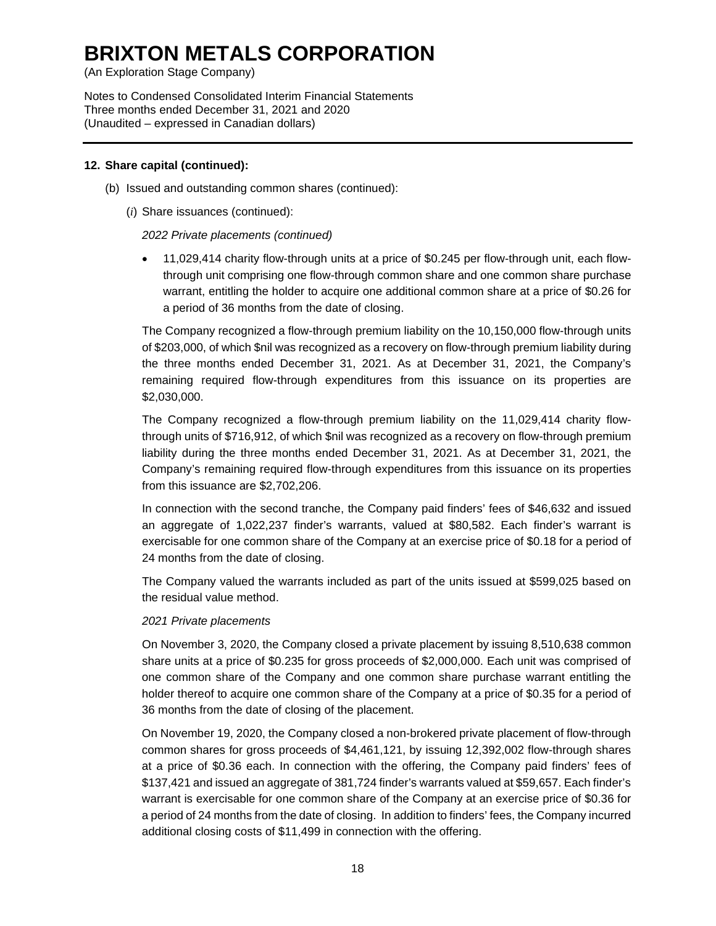(An Exploration Stage Company)

Notes to Condensed Consolidated Interim Financial Statements Three months ended December 31, 2021 and 2020 (Unaudited – expressed in Canadian dollars)

### **12. Share capital (continued):**

- (b) Issued and outstanding common shares (continued):
	- (*i*) Share issuances (continued):

*2022 Private placements (continued)*

• 11,029,414 charity flow-through units at a price of \$0.245 per flow-through unit, each flowthrough unit comprising one flow-through common share and one common share purchase warrant, entitling the holder to acquire one additional common share at a price of \$0.26 for a period of 36 months from the date of closing.

The Company recognized a flow-through premium liability on the 10,150,000 flow-through units of \$203,000, of which \$nil was recognized as a recovery on flow-through premium liability during the three months ended December 31, 2021. As at December 31, 2021, the Company's remaining required flow-through expenditures from this issuance on its properties are \$2,030,000.

The Company recognized a flow-through premium liability on the 11,029,414 charity flowthrough units of \$716,912, of which \$nil was recognized as a recovery on flow-through premium liability during the three months ended December 31, 2021. As at December 31, 2021, the Company's remaining required flow-through expenditures from this issuance on its properties from this issuance are \$2,702,206.

In connection with the second tranche, the Company paid finders' fees of \$46,632 and issued an aggregate of 1,022,237 finder's warrants, valued at \$80,582. Each finder's warrant is exercisable for one common share of the Company at an exercise price of \$0.18 for a period of 24 months from the date of closing.

The Company valued the warrants included as part of the units issued at \$599,025 based on the residual value method.

#### *2021 Private placements*

On November 3, 2020, the Company closed a private placement by issuing 8,510,638 common share units at a price of \$0.235 for gross proceeds of \$2,000,000. Each unit was comprised of one common share of the Company and one common share purchase warrant entitling the holder thereof to acquire one common share of the Company at a price of \$0.35 for a period of 36 months from the date of closing of the placement.

On November 19, 2020, the Company closed a non-brokered private placement of flow-through common shares for gross proceeds of \$4,461,121, by issuing 12,392,002 flow-through shares at a price of \$0.36 each. In connection with the offering, the Company paid finders' fees of \$137,421 and issued an aggregate of 381,724 finder's warrants valued at \$59,657. Each finder's warrant is exercisable for one common share of the Company at an exercise price of \$0.36 for a period of 24 months from the date of closing. In addition to finders' fees, the Company incurred additional closing costs of \$11,499 in connection with the offering.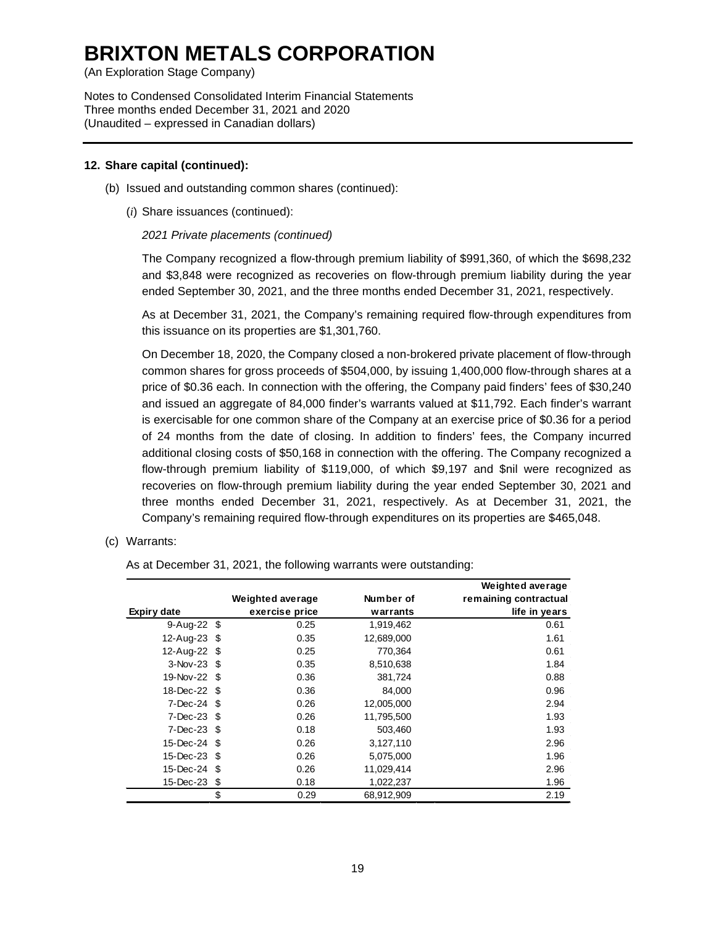(An Exploration Stage Company)

Notes to Condensed Consolidated Interim Financial Statements Three months ended December 31, 2021 and 2020 (Unaudited – expressed in Canadian dollars)

#### **12. Share capital (continued):**

- (b) Issued and outstanding common shares (continued):
	- (*i*) Share issuances (continued):

### *2021 Private placements (continued)*

The Company recognized a flow-through premium liability of \$991,360, of which the \$698,232 and \$3,848 were recognized as recoveries on flow-through premium liability during the year ended September 30, 2021, and the three months ended December 31, 2021, respectively.

As at December 31, 2021, the Company's remaining required flow-through expenditures from this issuance on its properties are \$1,301,760.

On December 18, 2020, the Company closed a non-brokered private placement of flow-through common shares for gross proceeds of \$504,000, by issuing 1,400,000 flow-through shares at a price of \$0.36 each. In connection with the offering, the Company paid finders' fees of \$30,240 and issued an aggregate of 84,000 finder's warrants valued at \$11,792. Each finder's warrant is exercisable for one common share of the Company at an exercise price of \$0.36 for a period of 24 months from the date of closing. In addition to finders' fees, the Company incurred additional closing costs of \$50,168 in connection with the offering. The Company recognized a flow-through premium liability of \$119,000, of which \$9,197 and \$nil were recognized as recoveries on flow-through premium liability during the year ended September 30, 2021 and three months ended December 31, 2021, respectively. As at December 31, 2021, the Company's remaining required flow-through expenditures on its properties are \$465,048.

(c) Warrants:

As at December 31, 2021, the following warrants were outstanding:

|                   |                  |            | <b>Weighted average</b> |
|-------------------|------------------|------------|-------------------------|
|                   | Weighted average | Number of  | remaining contractual   |
| Expiry date       | exercise price   | warrants   | life in years           |
| 9-Aug-22 \$       | 0.25             | 1,919,462  | 0.61                    |
| 12-Aug-23 \$      | 0.35             | 12,689,000 | 1.61                    |
| 12-Aug-22 \$      | 0.25             | 770.364    | 0.61                    |
| $3-Nov-23$ \$     | 0.35             | 8,510,638  | 1.84                    |
| 19-Nov-22 \$      | 0.36             | 381,724    | 0.88                    |
| 18-Dec-22 \$      | 0.36             | 84,000     | 0.96                    |
| $7$ -Dec-24 $$$   | 0.26             | 12,005,000 | 2.94                    |
| $7 - Dec - 23$ \$ | 0.26             | 11,795,500 | 1.93                    |
| 7-Dec-23 \$       | 0.18             | 503.460    | 1.93                    |
| 15-Dec-24 \$      | 0.26             | 3,127,110  | 2.96                    |
| 15-Dec-23 \$      | 0.26             | 5,075,000  | 1.96                    |
| 15-Dec-24 \$      | 0.26             | 11,029,414 | 2.96                    |
| 15-Dec-23 \$      | 0.18             | 1.022,237  | 1.96                    |
|                   | \$<br>0.29       | 68,912,909 | 2.19                    |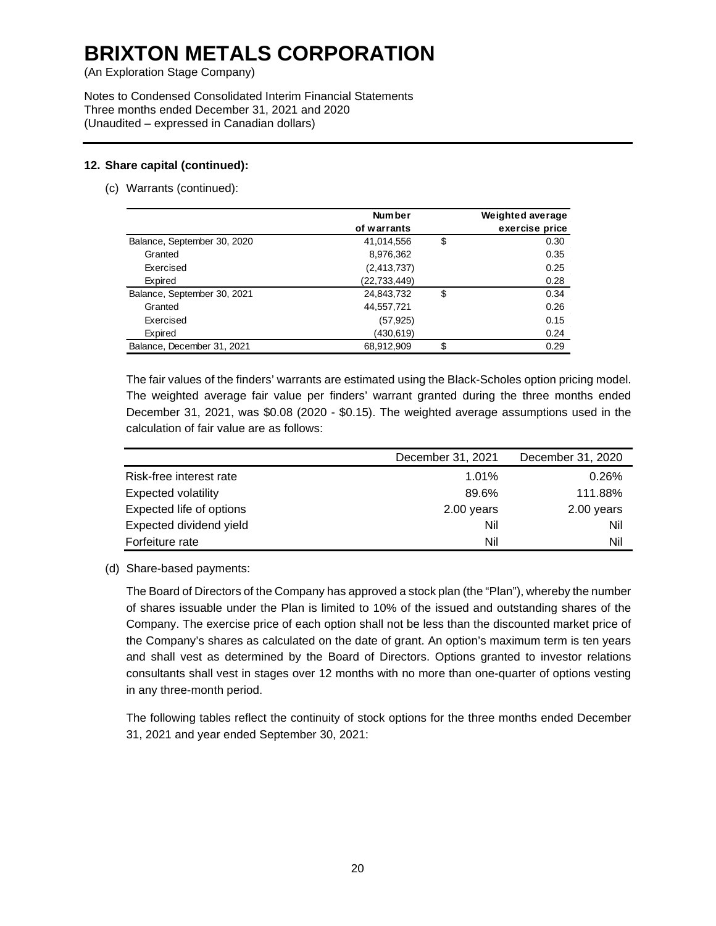(An Exploration Stage Company)

Notes to Condensed Consolidated Interim Financial Statements Three months ended December 31, 2021 and 2020 (Unaudited – expressed in Canadian dollars)

# **12. Share capital (continued):**

(c) Warrants (continued):

|                             | <b>Number</b> | Weighted average |
|-----------------------------|---------------|------------------|
|                             | of warrants   | exercise price   |
| Balance, September 30, 2020 | 41,014,556    | \$<br>0.30       |
| Granted                     | 8,976,362     | 0.35             |
| Exercised                   | (2,413,737)   | 0.25             |
| Expired                     | (22,733,449)  | 0.28             |
| Balance, September 30, 2021 | 24,843,732    | \$<br>0.34       |
| Granted                     | 44,557,721    | 0.26             |
| Exercised                   | (57, 925)     | 0.15             |
| Expired                     | (430,619)     | 0.24             |
| Balance, December 31, 2021  | 68,912,909    | \$<br>0.29       |

The fair values of the finders' warrants are estimated using the Black-Scholes option pricing model. The weighted average fair value per finders' warrant granted during the three months ended December 31, 2021, was \$0.08 (2020 - \$0.15). The weighted average assumptions used in the calculation of fair value are as follows:

|                            | December 31, 2021 | December 31, 2020 |
|----------------------------|-------------------|-------------------|
| Risk-free interest rate    | 1.01%             | 0.26%             |
| <b>Expected volatility</b> | 89.6%             | 111.88%           |
| Expected life of options   | 2.00 years        | 2.00 years        |
| Expected dividend yield    | Nil               | Nil               |
| Forfeiture rate            | Nil               | Nil               |

(d) Share-based payments:

The Board of Directors of the Company has approved a stock plan (the "Plan"), whereby the number of shares issuable under the Plan is limited to 10% of the issued and outstanding shares of the Company. The exercise price of each option shall not be less than the discounted market price of the Company's shares as calculated on the date of grant. An option's maximum term is ten years and shall vest as determined by the Board of Directors. Options granted to investor relations consultants shall vest in stages over 12 months with no more than one-quarter of options vesting in any three-month period.

The following tables reflect the continuity of stock options for the three months ended December 31, 2021 and year ended September 30, 2021: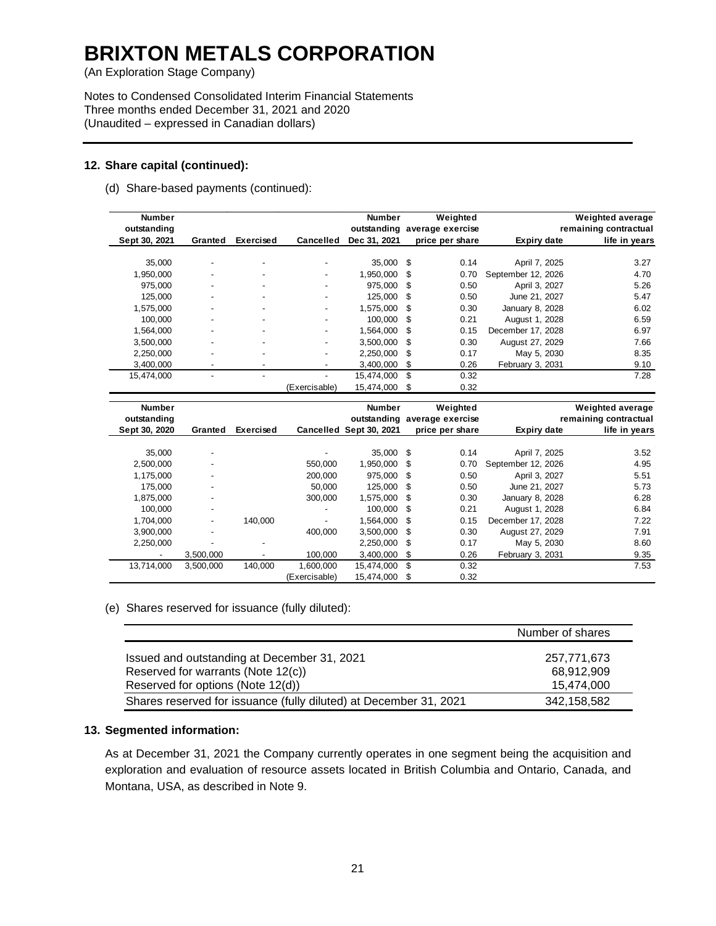(An Exploration Stage Company)

Notes to Condensed Consolidated Interim Financial Statements Three months ended December 31, 2021 and 2020 (Unaudited – expressed in Canadian dollars)

#### **12. Share capital (continued):**

(d) Share-based payments (continued):

| <b>Number</b><br>outstanding |                          |                          |                          | <b>Number</b><br>outstanding |    | Weighted<br>average exercise |                    | <b>Weighted average</b><br>remaining contractual |
|------------------------------|--------------------------|--------------------------|--------------------------|------------------------------|----|------------------------------|--------------------|--------------------------------------------------|
| Sept 30, 2021                | Granted                  | <b>Exercised</b>         | <b>Cancelled</b>         | Dec 31, 2021                 |    | price per share              | <b>Expiry date</b> | life in years                                    |
| 35.000                       | $\overline{\phantom{a}}$ | $\overline{\phantom{0}}$ |                          | 35,000 \$                    |    | 0.14                         | April 7, 2025      | 3.27                                             |
| 1,950,000                    |                          | $\overline{\phantom{0}}$ |                          | 1,950,000 \$                 |    | 0.70                         | September 12, 2026 | 4.70                                             |
| 975,000                      | $\overline{\phantom{a}}$ | ٠                        | $\overline{\phantom{0}}$ | 975,000 \$                   |    | 0.50                         | April 3, 2027      | 5.26                                             |
| 125,000                      | ٠                        | $\overline{\phantom{0}}$ | -                        | 125,000 \$                   |    | 0.50                         | June 21, 2027      | 5.47                                             |
| 1,575,000                    | ٠                        | ٠                        | $\overline{\phantom{0}}$ | 1,575,000                    | \$ | 0.30                         | January 8, 2028    | 6.02                                             |
| 100,000                      |                          | ٠                        |                          | 100.000 \$                   |    | 0.21                         | August 1, 2028     | 6.59                                             |
| 1.564.000                    | $\overline{\phantom{a}}$ | ٠                        | -                        | 1.564.000                    | S  | 0.15                         | December 17, 2028  | 6.97                                             |
| 3,500,000                    | $\overline{\phantom{a}}$ | $\overline{\phantom{0}}$ |                          | 3.500.000                    | \$ | 0.30                         | August 27, 2029    | 7.66                                             |
| 2,250,000                    | $\overline{\phantom{a}}$ | $\overline{\phantom{0}}$ | $\overline{\phantom{0}}$ | 2,250,000                    | S  | 0.17                         | May 5, 2030        | 8.35                                             |
| 3,400,000                    | $\overline{\phantom{a}}$ | $\overline{\phantom{a}}$ |                          | 3.400.000                    | S  | 0.26                         | February 3, 2031   | 9.10                                             |
| 15,474,000                   |                          | $\overline{\phantom{a}}$ |                          | 15.474.000                   | \$ | 0.32                         |                    | 7.28                                             |
|                              |                          |                          | (Exercisable)            | 15,474,000                   | \$ | 0.32                         |                    |                                                  |

| <b>Number</b><br>outstanding |                          |                          |               | <b>Number</b><br>outstanding |     | Weighted<br>average exercise |                    | <b>Weighted average</b><br>remaining contractual |
|------------------------------|--------------------------|--------------------------|---------------|------------------------------|-----|------------------------------|--------------------|--------------------------------------------------|
| Sept 30, 2020                | Granted                  | <b>Exercised</b>         |               | Cancelled Sept 30, 2021      |     | price per share              | Expiry date        | life in years                                    |
|                              |                          |                          |               |                              |     |                              |                    |                                                  |
| 35.000                       | $\overline{\phantom{0}}$ |                          | -             | 35,000 \$                    |     | 0.14                         | April 7, 2025      | 3.52                                             |
| 2,500,000                    | $\overline{\phantom{a}}$ |                          | 550,000       | 1,950,000                    | S   | 0.70                         | September 12, 2026 | 4.95                                             |
| 1,175,000                    | $\overline{\phantom{a}}$ |                          | 200,000       | 975,000                      | -\$ | 0.50                         | April 3, 2027      | 5.51                                             |
| 175.000                      | $\overline{\phantom{a}}$ |                          | 50.000        | 125.000                      | S   | 0.50                         | June 21, 2027      | 5.73                                             |
| 1,875,000                    | $\overline{\phantom{a}}$ |                          | 300.000       | 1,575,000                    | S   | 0.30                         | January 8, 2028    | 6.28                                             |
| 100.000                      | ٠                        |                          | -             | 100.000                      | \$  | 0.21                         | August 1, 2028     | 6.84                                             |
| 1,704,000                    | $\overline{\phantom{a}}$ | 140.000                  | -             | 1,564,000                    | S   | 0.15                         | December 17, 2028  | 7.22                                             |
| 3,900,000                    | $\overline{\phantom{a}}$ |                          | 400.000       | 3.500.000                    | S   | 0.30                         | August 27, 2029    | 7.91                                             |
| 2,250,000                    | -                        | $\overline{\phantom{a}}$ |               | 2,250,000                    | \$  | 0.17                         | May 5, 2030        | 8.60                                             |
| $\overline{\phantom{a}}$     | 3,500,000                |                          | 100.000       | 3,400,000                    | \$  | 0.26                         | February 3, 2031   | 9.35                                             |
| 13,714,000                   | 3,500,000                | 140,000                  | 1.600.000     | 15.474.000                   | \$  | 0.32                         |                    | 7.53                                             |
|                              |                          |                          | (Exercisable) | 15,474,000                   | \$  | 0.32                         |                    |                                                  |

(e) Shares reserved for issuance (fully diluted):

|                                                                   | Number of shares |
|-------------------------------------------------------------------|------------------|
| Issued and outstanding at December 31, 2021                       | 257,771,673      |
| Reserved for warrants (Note 12(c))                                | 68.912.909       |
| Reserved for options (Note 12(d))                                 | 15,474,000       |
| Shares reserved for issuance (fully diluted) at December 31, 2021 | 342,158,582      |

# **13. Segmented information:**

As at December 31, 2021 the Company currently operates in one segment being the acquisition and exploration and evaluation of resource assets located in British Columbia and Ontario, Canada, and Montana, USA, as described in Note 9.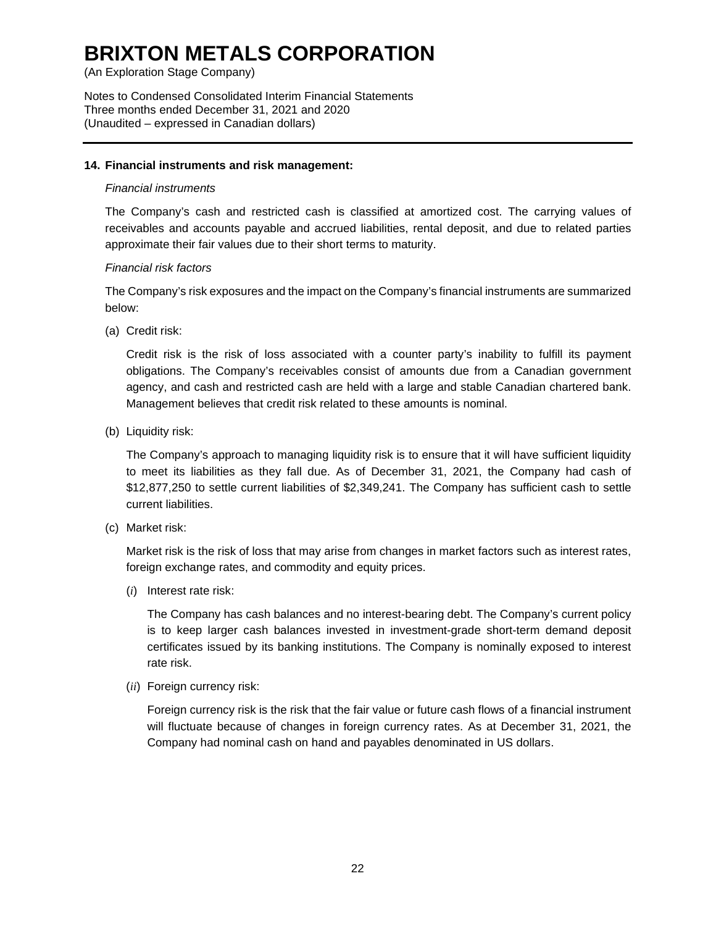(An Exploration Stage Company)

Notes to Condensed Consolidated Interim Financial Statements Three months ended December 31, 2021 and 2020 (Unaudited – expressed in Canadian dollars)

### **14. Financial instruments and risk management:**

#### *Financial instruments*

The Company's cash and restricted cash is classified at amortized cost. The carrying values of receivables and accounts payable and accrued liabilities, rental deposit, and due to related parties approximate their fair values due to their short terms to maturity.

# *Financial risk factors*

The Company's risk exposures and the impact on the Company's financial instruments are summarized below:

(a) Credit risk:

Credit risk is the risk of loss associated with a counter party's inability to fulfill its payment obligations. The Company's receivables consist of amounts due from a Canadian government agency, and cash and restricted cash are held with a large and stable Canadian chartered bank. Management believes that credit risk related to these amounts is nominal.

(b) Liquidity risk:

The Company's approach to managing liquidity risk is to ensure that it will have sufficient liquidity to meet its liabilities as they fall due. As of December 31, 2021, the Company had cash of \$12,877,250 to settle current liabilities of \$2,349,241. The Company has sufficient cash to settle current liabilities.

(c) Market risk:

Market risk is the risk of loss that may arise from changes in market factors such as interest rates, foreign exchange rates, and commodity and equity prices.

(*i*) Interest rate risk:

The Company has cash balances and no interest-bearing debt. The Company's current policy is to keep larger cash balances invested in investment-grade short-term demand deposit certificates issued by its banking institutions. The Company is nominally exposed to interest rate risk.

(*ii*) Foreign currency risk:

Foreign currency risk is the risk that the fair value or future cash flows of a financial instrument will fluctuate because of changes in foreign currency rates. As at December 31, 2021, the Company had nominal cash on hand and payables denominated in US dollars.